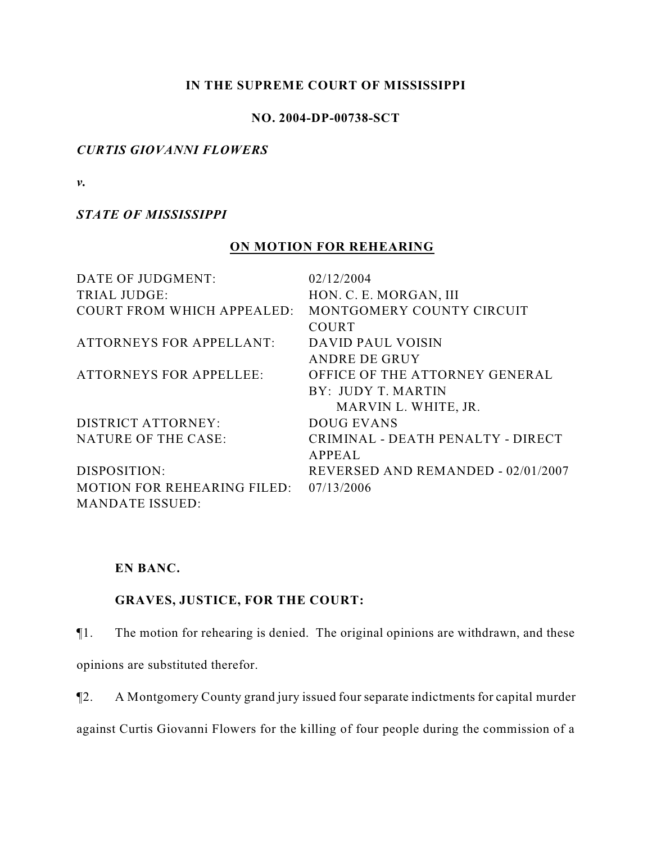## **IN THE SUPREME COURT OF MISSISSIPPI**

## **NO. 2004-DP-00738-SCT**

## *CURTIS GIOVANNI FLOWERS*

*v.*

## *STATE OF MISSISSIPPI*

# **ON MOTION FOR REHEARING**

| DATE OF JUDGMENT:                      | 02/12/2004                         |
|----------------------------------------|------------------------------------|
| <b>TRIAL JUDGE:</b>                    | HON. C. E. MORGAN, III             |
| <b>COURT FROM WHICH APPEALED:</b>      | MONTGOMERY COUNTY CIRCUIT          |
|                                        | <b>COURT</b>                       |
| <b>ATTORNEYS FOR APPELLANT:</b>        | DAVID PAUL VOISIN                  |
|                                        | <b>ANDRE DE GRUY</b>               |
| <b>ATTORNEYS FOR APPELLEE:</b>         | OFFICE OF THE ATTORNEY GENERAL     |
|                                        | BY: JUDY T. MARTIN                 |
|                                        | MARVIN L. WHITE, JR.               |
| <b>DISTRICT ATTORNEY:</b>              | <b>DOUG EVANS</b>                  |
| <b>NATURE OF THE CASE:</b>             | CRIMINAL - DEATH PENALTY - DIRECT  |
|                                        | APPEAL                             |
| DISPOSITION:                           | REVERSED AND REMANDED - 02/01/2007 |
| MOTION FOR REHEARING FILED: 07/13/2006 |                                    |
| <b>MANDATE ISSUED:</b>                 |                                    |

## **EN BANC.**

# **GRAVES, JUSTICE, FOR THE COURT:**

¶1. The motion for rehearing is denied. The original opinions are withdrawn, and these

opinions are substituted therefor.

¶2. A Montgomery County grand jury issued four separate indictments for capital murder

against Curtis Giovanni Flowers for the killing of four people during the commission of a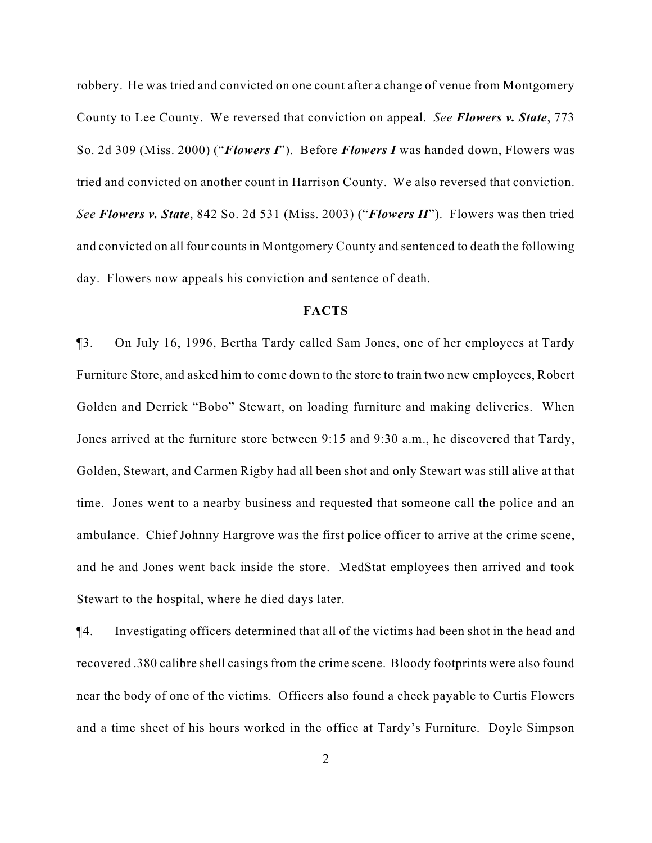robbery. He was tried and convicted on one count after a change of venue from Montgomery County to Lee County. We reversed that conviction on appeal. *See Flowers v. State*, 773 So. 2d 309 (Miss. 2000) ("*Flowers I*"). Before *Flowers I* was handed down, Flowers was tried and convicted on another count in Harrison County. We also reversed that conviction. *See Flowers v. State*, 842 So. 2d 531 (Miss. 2003) ("*Flowers II*"). Flowers was then tried and convicted on all four counts in Montgomery County and sentenced to death the following day. Flowers now appeals his conviction and sentence of death.

### **FACTS**

¶3. On July 16, 1996, Bertha Tardy called Sam Jones, one of her employees at Tardy Furniture Store, and asked him to come down to the store to train two new employees, Robert Golden and Derrick "Bobo" Stewart, on loading furniture and making deliveries. When Jones arrived at the furniture store between 9:15 and 9:30 a.m., he discovered that Tardy, Golden, Stewart, and Carmen Rigby had all been shot and only Stewart was still alive at that time. Jones went to a nearby business and requested that someone call the police and an ambulance. Chief Johnny Hargrove was the first police officer to arrive at the crime scene, and he and Jones went back inside the store. MedStat employees then arrived and took Stewart to the hospital, where he died days later.

¶4. Investigating officers determined that all of the victims had been shot in the head and recovered .380 calibre shell casings from the crime scene. Bloody footprints were also found near the body of one of the victims. Officers also found a check payable to Curtis Flowers and a time sheet of his hours worked in the office at Tardy's Furniture. Doyle Simpson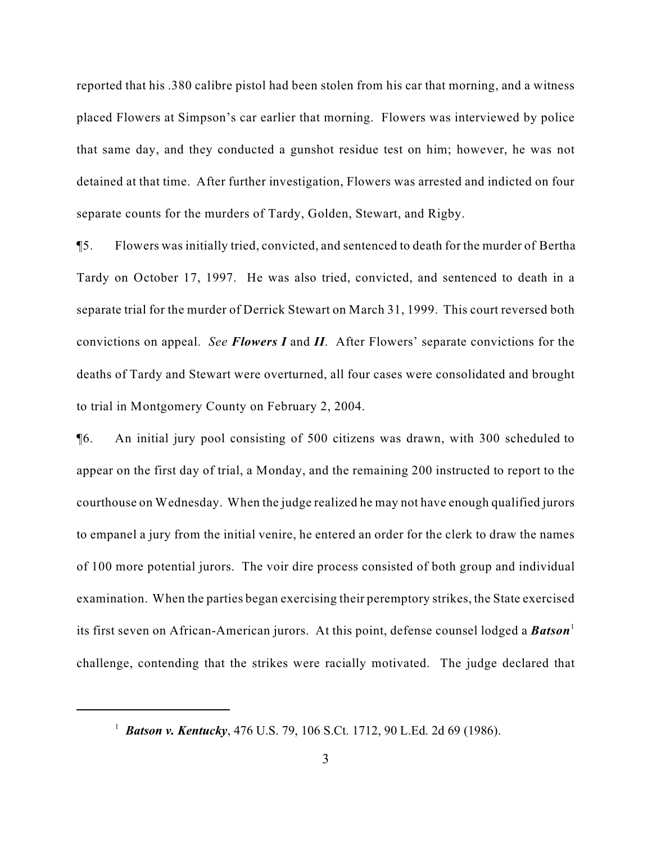reported that his .380 calibre pistol had been stolen from his car that morning, and a witness placed Flowers at Simpson's car earlier that morning. Flowers was interviewed by police that same day, and they conducted a gunshot residue test on him; however, he was not detained at that time. After further investigation, Flowers was arrested and indicted on four separate counts for the murders of Tardy, Golden, Stewart, and Rigby.

¶5. Flowers was initially tried, convicted, and sentenced to death for the murder of Bertha Tardy on October 17, 1997. He was also tried, convicted, and sentenced to death in a separate trial for the murder of Derrick Stewart on March 31, 1999. This court reversed both convictions on appeal. *See Flowers I* and *II*. After Flowers' separate convictions for the deaths of Tardy and Stewart were overturned, all four cases were consolidated and brought to trial in Montgomery County on February 2, 2004.

¶6. An initial jury pool consisting of 500 citizens was drawn, with 300 scheduled to appear on the first day of trial, a Monday, and the remaining 200 instructed to report to the courthouse on Wednesday. When the judge realized he may not have enough qualified jurors to empanel a jury from the initial venire, he entered an order for the clerk to draw the names of 100 more potential jurors. The voir dire process consisted of both group and individual examination. When the parties began exercising their peremptory strikes, the State exercised its first seven on African-American jurors. At this point, defense counsel lodged a **Batson**<sup>1</sup> challenge, contending that the strikes were racially motivated. The judge declared that

<sup>&</sup>lt;sup>1</sup> *Batson v. Kentucky*, 476 U.S. 79, 106 S.Ct. 1712, 90 L.Ed. 2d 69 (1986).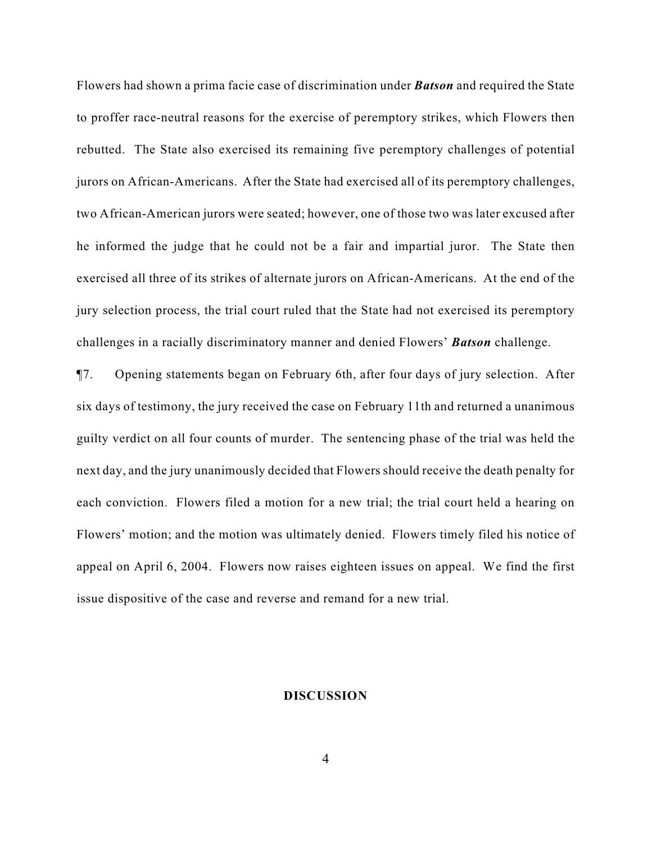Flowers had shown a prima facie case of discrimination under *Batson* and required the State to proffer race-neutral reasons for the exercise of peremptory strikes, which Flowers then rebutted. The State also exercised its remaining five peremptory challenges of potential jurors on African-Americans. After the State had exercised all of its peremptory challenges, two African-American jurors were seated; however, one of those two was later excused after he informed the judge that he could not be a fair and impartial juror. The State then exercised all three of its strikes of alternate jurors on African-Americans. At the end of the jury selection process, the trial court ruled that the State had not exercised its peremptory challenges in a racially discriminatory manner and denied Flowers' *Batson* challenge.

¶7. Opening statements began on February 6th, after four days of jury selection. After six days of testimony, the jury received the case on February 11th and returned a unanimous guilty verdict on all four counts of murder. The sentencing phase of the trial was held the next day, and the jury unanimously decided that Flowers should receive the death penalty for each conviction. Flowers filed a motion for a new trial; the trial court held a hearing on Flowers' motion; and the motion was ultimately denied. Flowers timely filed his notice of appeal on April 6, 2004. Flowers now raises eighteen issues on appeal. We find the first issue dispositive of the case and reverse and remand for a new trial.

#### **DISCUSSION**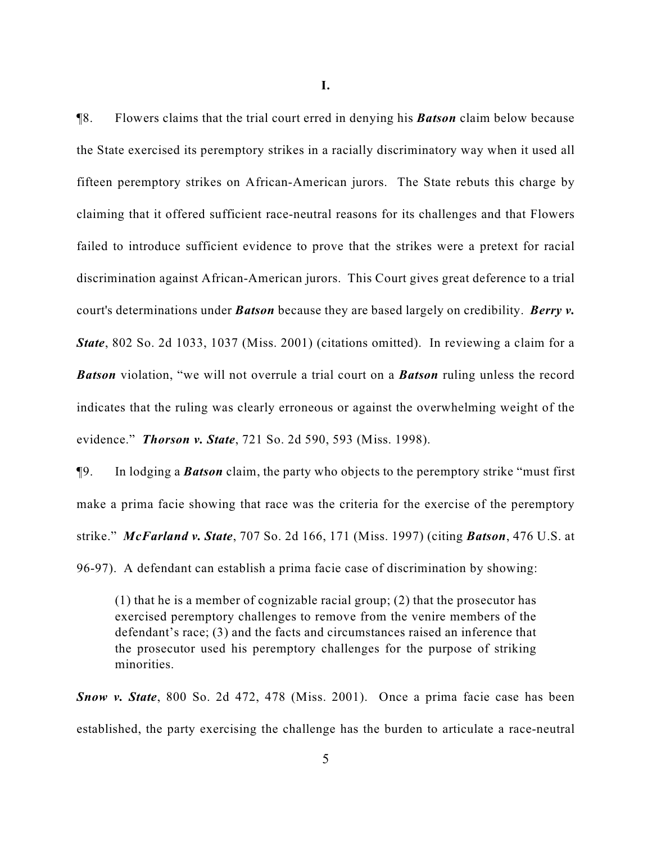**I.**

¶8. Flowers claims that the trial court erred in denying his *Batson* claim below because the State exercised its peremptory strikes in a racially discriminatory way when it used all fifteen peremptory strikes on African-American jurors. The State rebuts this charge by claiming that it offered sufficient race-neutral reasons for its challenges and that Flowers failed to introduce sufficient evidence to prove that the strikes were a pretext for racial discrimination against African-American jurors. This Court gives great deference to a trial court's determinations under *Batson* because they are based largely on credibility. *Berry v. State*, 802 So. 2d 1033, 1037 (Miss. 2001) (citations omitted). In reviewing a claim for a *Batson* violation, "we will not overrule a trial court on a *Batson* ruling unless the record indicates that the ruling was clearly erroneous or against the overwhelming weight of the evidence." *Thorson v. State*, 721 So. 2d 590, 593 (Miss. 1998).

¶9. In lodging a *Batson* claim, the party who objects to the peremptory strike "must first make a prima facie showing that race was the criteria for the exercise of the peremptory strike." *McFarland v. State*, 707 So. 2d 166, 171 (Miss. 1997) (citing *Batson*, 476 U.S. at 96-97). A defendant can establish a prima facie case of discrimination by showing:

(1) that he is a member of cognizable racial group; (2) that the prosecutor has exercised peremptory challenges to remove from the venire members of the defendant's race; (3) and the facts and circumstances raised an inference that the prosecutor used his peremptory challenges for the purpose of striking minorities.

*Snow v. State*, 800 So. 2d 472, 478 (Miss. 2001). Once a prima facie case has been established, the party exercising the challenge has the burden to articulate a race-neutral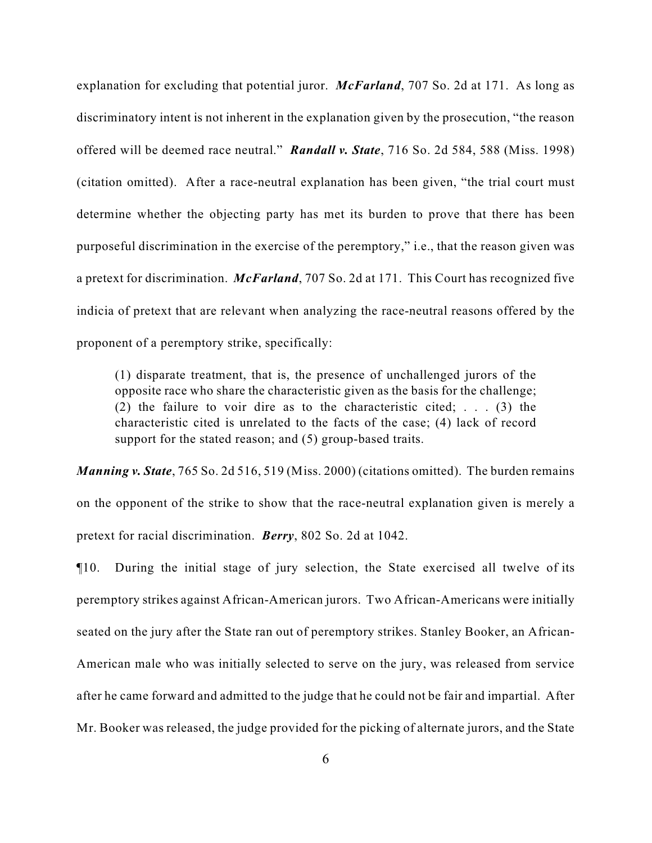explanation for excluding that potential juror. *McFarland*, 707 So. 2d at 171. As long as discriminatory intent is not inherent in the explanation given by the prosecution, "the reason offered will be deemed race neutral." *Randall v. State*, 716 So. 2d 584, 588 (Miss. 1998) (citation omitted). After a race-neutral explanation has been given, "the trial court must determine whether the objecting party has met its burden to prove that there has been purposeful discrimination in the exercise of the peremptory," i.e., that the reason given was a pretext for discrimination. *McFarland*, 707 So. 2d at 171. This Court has recognized five indicia of pretext that are relevant when analyzing the race-neutral reasons offered by the proponent of a peremptory strike, specifically:

(1) disparate treatment, that is, the presence of unchallenged jurors of the opposite race who share the characteristic given as the basis for the challenge; (2) the failure to voir dire as to the characteristic cited; . . . (3) the characteristic cited is unrelated to the facts of the case; (4) lack of record support for the stated reason; and (5) group-based traits.

*Manning v. State*, 765 So. 2d 516, 519 (Miss. 2000) (citations omitted). The burden remains on the opponent of the strike to show that the race-neutral explanation given is merely a pretext for racial discrimination. *Berry*, 802 So. 2d at 1042.

¶10. During the initial stage of jury selection, the State exercised all twelve of its peremptory strikes against African-American jurors. Two African-Americans were initially seated on the jury after the State ran out of peremptory strikes. Stanley Booker, an African-American male who was initially selected to serve on the jury, was released from service after he came forward and admitted to the judge that he could not be fair and impartial. After Mr. Booker was released, the judge provided for the picking of alternate jurors, and the State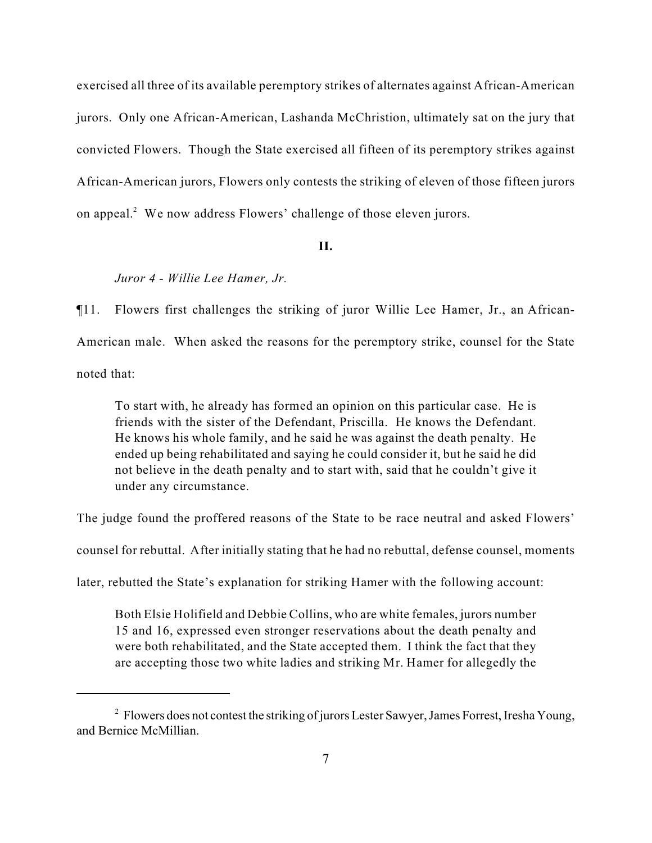exercised all three of its available peremptory strikes of alternates against African-American jurors. Only one African-American, Lashanda McChristion, ultimately sat on the jury that convicted Flowers. Though the State exercised all fifteen of its peremptory strikes against African-American jurors, Flowers only contests the striking of eleven of those fifteen jurors on appeal. $2$  We now address Flowers' challenge of those eleven jurors.

## **II.**

### *Juror 4 - Willie Lee Hamer, Jr.*

¶11. Flowers first challenges the striking of juror Willie Lee Hamer, Jr., an African-American male. When asked the reasons for the peremptory strike, counsel for the State noted that:

To start with, he already has formed an opinion on this particular case. He is friends with the sister of the Defendant, Priscilla. He knows the Defendant. He knows his whole family, and he said he was against the death penalty. He ended up being rehabilitated and saying he could consider it, but he said he did not believe in the death penalty and to start with, said that he couldn't give it under any circumstance.

The judge found the proffered reasons of the State to be race neutral and asked Flowers'

counsel for rebuttal. After initially stating that he had no rebuttal, defense counsel, moments

later, rebutted the State's explanation for striking Hamer with the following account:

Both Elsie Holifield and Debbie Collins, who are white females, jurors number 15 and 16, expressed even stronger reservations about the death penalty and were both rehabilitated, and the State accepted them. I think the fact that they are accepting those two white ladies and striking Mr. Hamer for allegedly the

<sup>&</sup>lt;sup>2</sup> Flowers does not contest the striking of jurors Lester Sawyer, James Forrest, Iresha Young, and Bernice McMillian.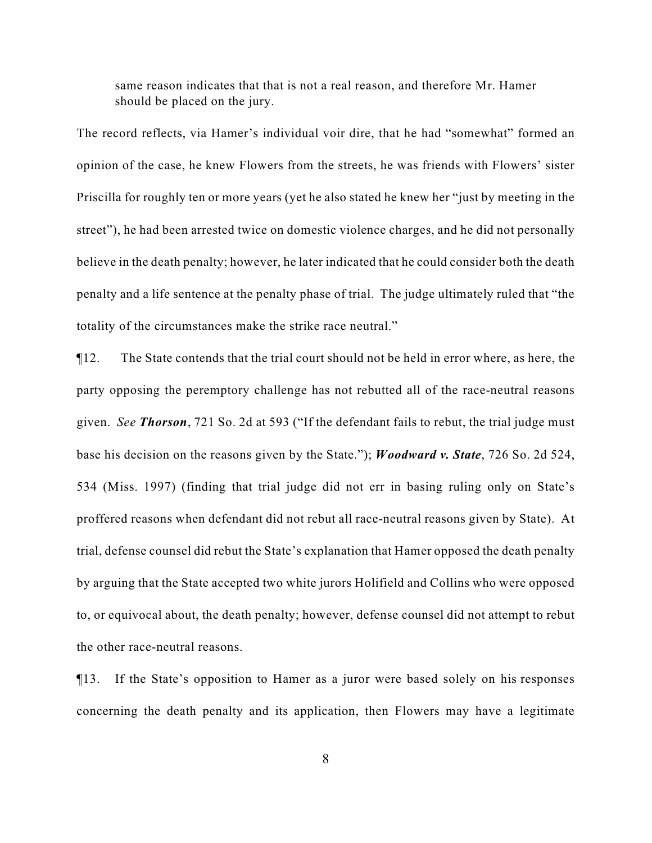same reason indicates that that is not a real reason, and therefore Mr. Hamer should be placed on the jury.

The record reflects, via Hamer's individual voir dire, that he had "somewhat" formed an opinion of the case, he knew Flowers from the streets, he was friends with Flowers' sister Priscilla for roughly ten or more years (yet he also stated he knew her "just by meeting in the street"), he had been arrested twice on domestic violence charges, and he did not personally believe in the death penalty; however, he later indicated that he could consider both the death penalty and a life sentence at the penalty phase of trial. The judge ultimately ruled that "the totality of the circumstances make the strike race neutral."

¶12. The State contends that the trial court should not be held in error where, as here, the party opposing the peremptory challenge has not rebutted all of the race-neutral reasons given. *See Thorson*, 721 So. 2d at 593 ("If the defendant fails to rebut, the trial judge must base his decision on the reasons given by the State."); *Woodward v. State*, 726 So. 2d 524, 534 (Miss. 1997) (finding that trial judge did not err in basing ruling only on State's proffered reasons when defendant did not rebut all race-neutral reasons given by State). At trial, defense counsel did rebut the State's explanation that Hamer opposed the death penalty by arguing that the State accepted two white jurors Holifield and Collins who were opposed to, or equivocal about, the death penalty; however, defense counsel did not attempt to rebut the other race-neutral reasons.

¶13. If the State's opposition to Hamer as a juror were based solely on his responses concerning the death penalty and its application, then Flowers may have a legitimate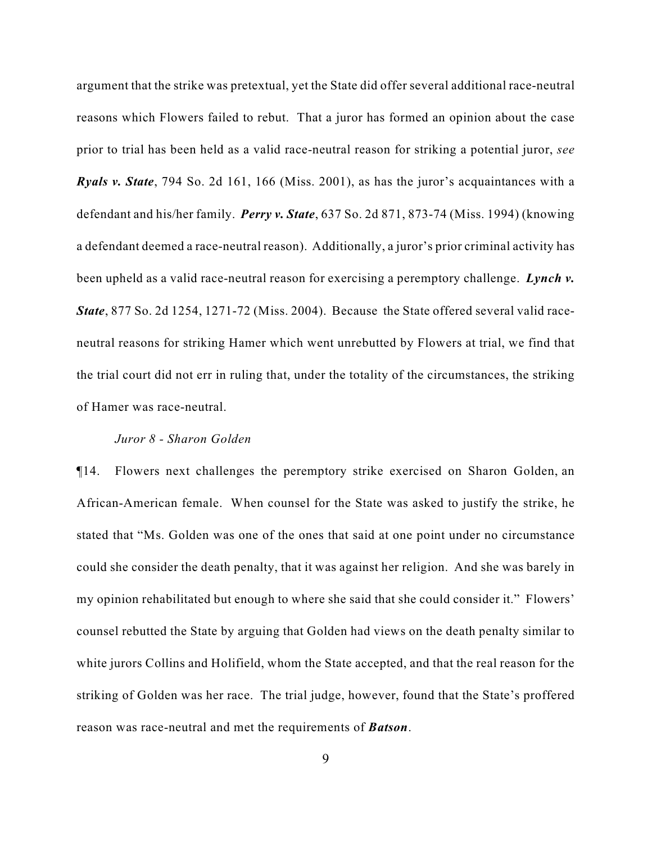argument that the strike was pretextual, yet the State did offer several additional race-neutral reasons which Flowers failed to rebut. That a juror has formed an opinion about the case prior to trial has been held as a valid race-neutral reason for striking a potential juror, *see Ryals v. State*, 794 So. 2d 161, 166 (Miss. 2001), as has the juror's acquaintances with a defendant and his/her family. *Perry v. State*, 637 So. 2d 871, 873-74 (Miss. 1994) (knowing a defendant deemed a race-neutral reason). Additionally, a juror's prior criminal activity has been upheld as a valid race-neutral reason for exercising a peremptory challenge. *Lynch v. State*, 877 So. 2d 1254, 1271-72 (Miss. 2004). Because the State offered several valid raceneutral reasons for striking Hamer which went unrebutted by Flowers at trial, we find that the trial court did not err in ruling that, under the totality of the circumstances, the striking of Hamer was race-neutral.

### *Juror 8 - Sharon Golden*

¶14. Flowers next challenges the peremptory strike exercised on Sharon Golden, an African-American female. When counsel for the State was asked to justify the strike, he stated that "Ms. Golden was one of the ones that said at one point under no circumstance could she consider the death penalty, that it was against her religion. And she was barely in my opinion rehabilitated but enough to where she said that she could consider it." Flowers' counsel rebutted the State by arguing that Golden had views on the death penalty similar to white jurors Collins and Holifield, whom the State accepted, and that the real reason for the striking of Golden was her race. The trial judge, however, found that the State's proffered reason was race-neutral and met the requirements of *Batson*.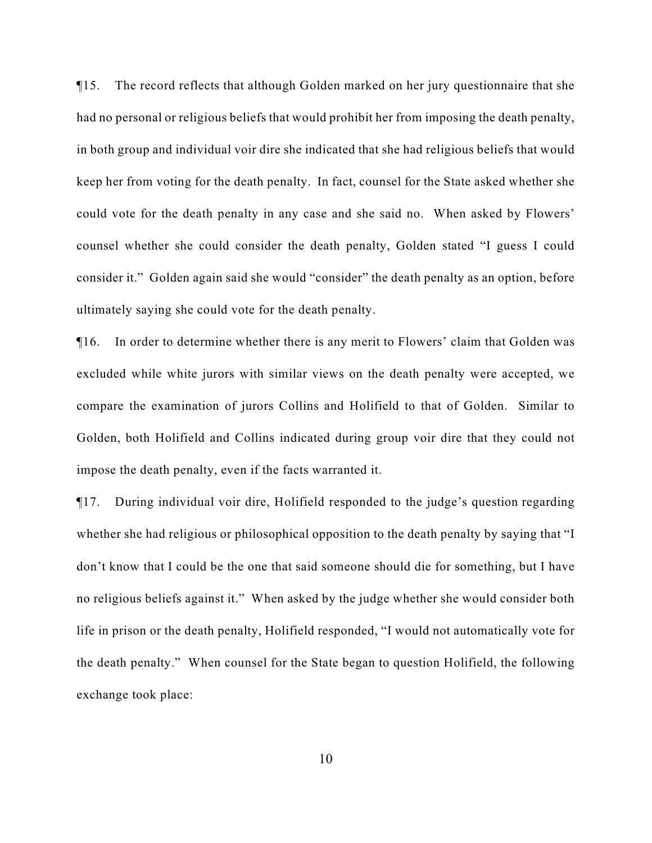¶15. The record reflects that although Golden marked on her jury questionnaire that she had no personal or religious beliefs that would prohibit her from imposing the death penalty, in both group and individual voir dire she indicated that she had religious beliefs that would keep her from voting for the death penalty. In fact, counsel for the State asked whether she could vote for the death penalty in any case and she said no. When asked by Flowers' counsel whether she could consider the death penalty, Golden stated "I guess I could consider it." Golden again said she would "consider" the death penalty as an option, before ultimately saying she could vote for the death penalty.

¶16. In order to determine whether there is any merit to Flowers' claim that Golden was excluded while white jurors with similar views on the death penalty were accepted, we compare the examination of jurors Collins and Holifield to that of Golden. Similar to Golden, both Holifield and Collins indicated during group voir dire that they could not impose the death penalty, even if the facts warranted it.

¶17. During individual voir dire, Holifield responded to the judge's question regarding whether she had religious or philosophical opposition to the death penalty by saying that "I don't know that I could be the one that said someone should die for something, but I have no religious beliefs against it." When asked by the judge whether she would consider both life in prison or the death penalty, Holifield responded, "I would not automatically vote for the death penalty." When counsel for the State began to question Holifield, the following exchange took place: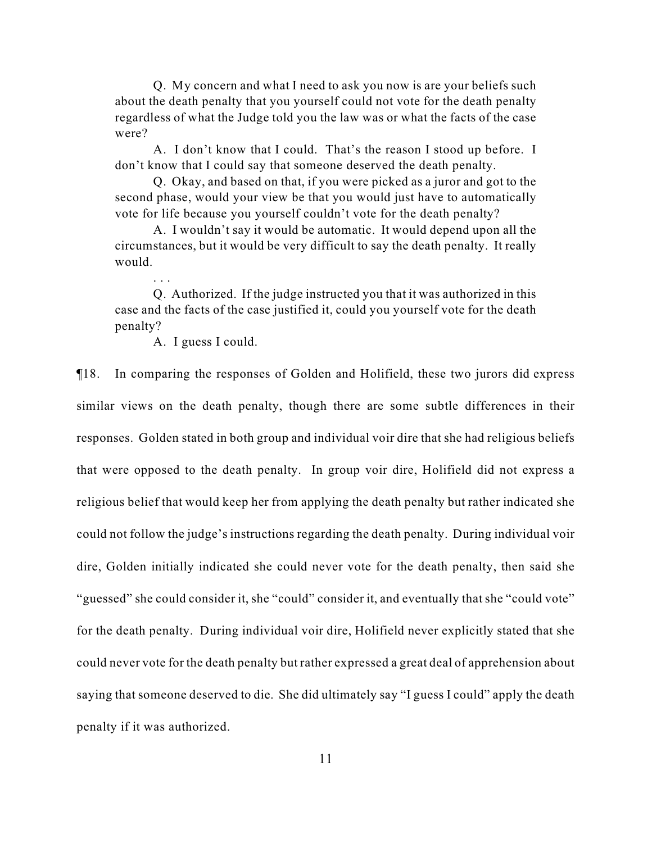Q. My concern and what I need to ask you now is are your beliefs such about the death penalty that you yourself could not vote for the death penalty regardless of what the Judge told you the law was or what the facts of the case were?

A. I don't know that I could. That's the reason I stood up before. I don't know that I could say that someone deserved the death penalty.

Q. Okay, and based on that, if you were picked as a juror and got to the second phase, would your view be that you would just have to automatically vote for life because you yourself couldn't vote for the death penalty?

A. I wouldn't say it would be automatic. It would depend upon all the circumstances, but it would be very difficult to say the death penalty. It really would.

Q. Authorized. If the judge instructed you that it was authorized in this case and the facts of the case justified it, could you yourself vote for the death penalty?

A. I guess I could.

. . .

¶18. In comparing the responses of Golden and Holifield, these two jurors did express similar views on the death penalty, though there are some subtle differences in their responses. Golden stated in both group and individual voir dire that she had religious beliefs that were opposed to the death penalty. In group voir dire, Holifield did not express a religious belief that would keep her from applying the death penalty but rather indicated she could not follow the judge's instructions regarding the death penalty. During individual voir dire, Golden initially indicated she could never vote for the death penalty, then said she "guessed" she could consider it, she "could" consider it, and eventually that she "could vote" for the death penalty. During individual voir dire, Holifield never explicitly stated that she could never vote for the death penalty but rather expressed a great deal of apprehension about saying that someone deserved to die. She did ultimately say "I guess I could" apply the death penalty if it was authorized.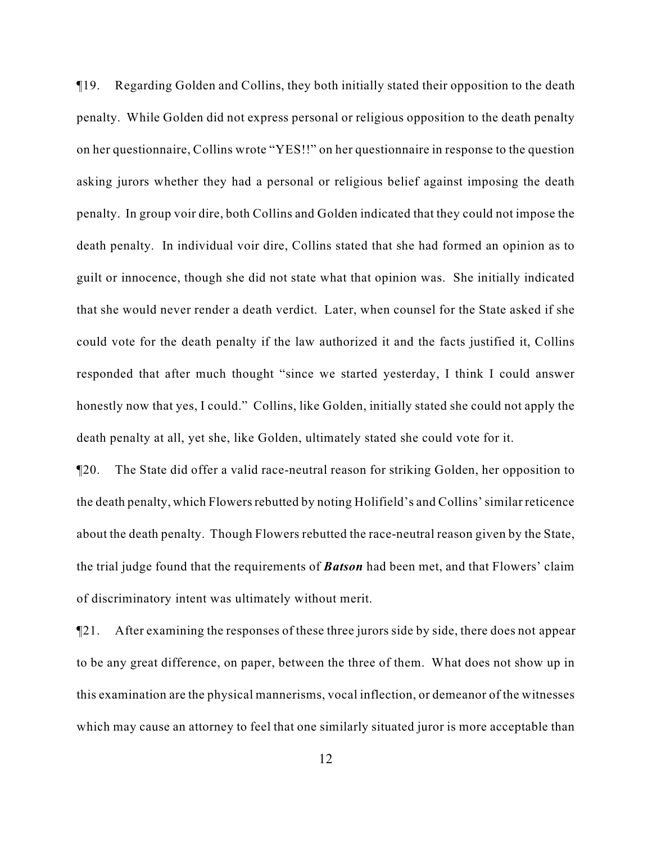¶19. Regarding Golden and Collins, they both initially stated their opposition to the death penalty. While Golden did not express personal or religious opposition to the death penalty on her questionnaire, Collins wrote "YES!!" on her questionnaire in response to the question asking jurors whether they had a personal or religious belief against imposing the death penalty. In group voir dire, both Collins and Golden indicated that they could not impose the death penalty. In individual voir dire, Collins stated that she had formed an opinion as to guilt or innocence, though she did not state what that opinion was. She initially indicated that she would never render a death verdict. Later, when counsel for the State asked if she could vote for the death penalty if the law authorized it and the facts justified it, Collins responded that after much thought "since we started yesterday, I think I could answer honestly now that yes, I could." Collins, like Golden, initially stated she could not apply the death penalty at all, yet she, like Golden, ultimately stated she could vote for it.

¶20. The State did offer a valid race-neutral reason for striking Golden, her opposition to the death penalty, which Flowers rebutted by noting Holifield's and Collins' similar reticence about the death penalty. Though Flowers rebutted the race-neutral reason given by the State, the trial judge found that the requirements of *Batson* had been met, and that Flowers' claim of discriminatory intent was ultimately without merit.

¶21. After examining the responses of these three jurors side by side, there does not appear to be any great difference, on paper, between the three of them. What does not show up in this examination are the physical mannerisms, vocal inflection, or demeanor of the witnesses which may cause an attorney to feel that one similarly situated juror is more acceptable than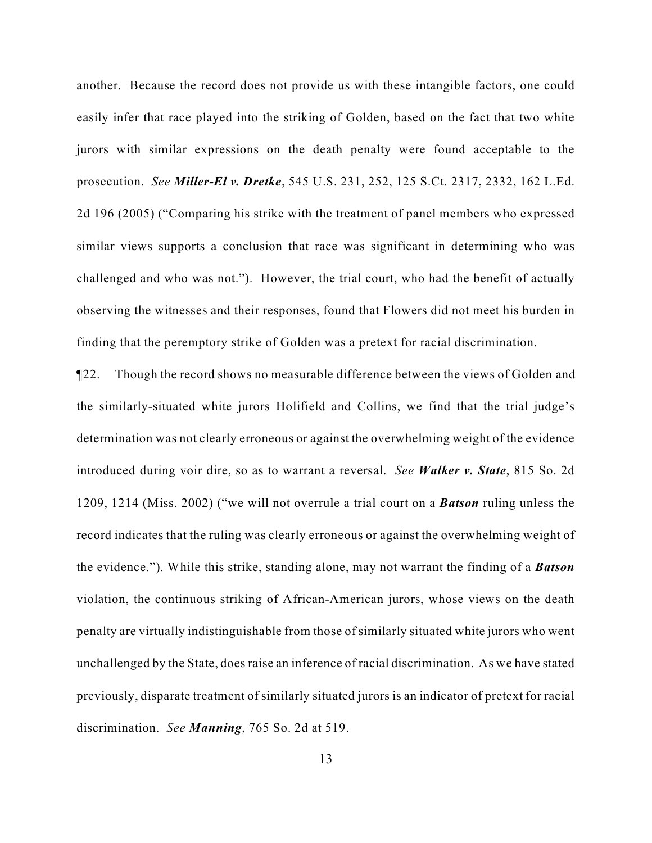another. Because the record does not provide us with these intangible factors, one could easily infer that race played into the striking of Golden, based on the fact that two white jurors with similar expressions on the death penalty were found acceptable to the prosecution. *See Miller-El v. Dretke*, 545 U.S. 231, 252, 125 S.Ct. 2317, 2332, 162 L.Ed. 2d 196 (2005) ("Comparing his strike with the treatment of panel members who expressed similar views supports a conclusion that race was significant in determining who was challenged and who was not."). However, the trial court, who had the benefit of actually observing the witnesses and their responses, found that Flowers did not meet his burden in finding that the peremptory strike of Golden was a pretext for racial discrimination.

¶22. Though the record shows no measurable difference between the views of Golden and the similarly-situated white jurors Holifield and Collins, we find that the trial judge's determination was not clearly erroneous or against the overwhelming weight of the evidence introduced during voir dire, so as to warrant a reversal. *See Walker v. State*, 815 So. 2d 1209, 1214 (Miss. 2002) ("we will not overrule a trial court on a *Batson* ruling unless the record indicates that the ruling was clearly erroneous or against the overwhelming weight of the evidence."). While this strike, standing alone, may not warrant the finding of a *Batson* violation, the continuous striking of African-American jurors, whose views on the death penalty are virtually indistinguishable from those of similarly situated white jurors who went unchallenged by the State, does raise an inference of racial discrimination. As we have stated previously, disparate treatment of similarly situated jurors is an indicator of pretext for racial discrimination. *See Manning*, 765 So. 2d at 519.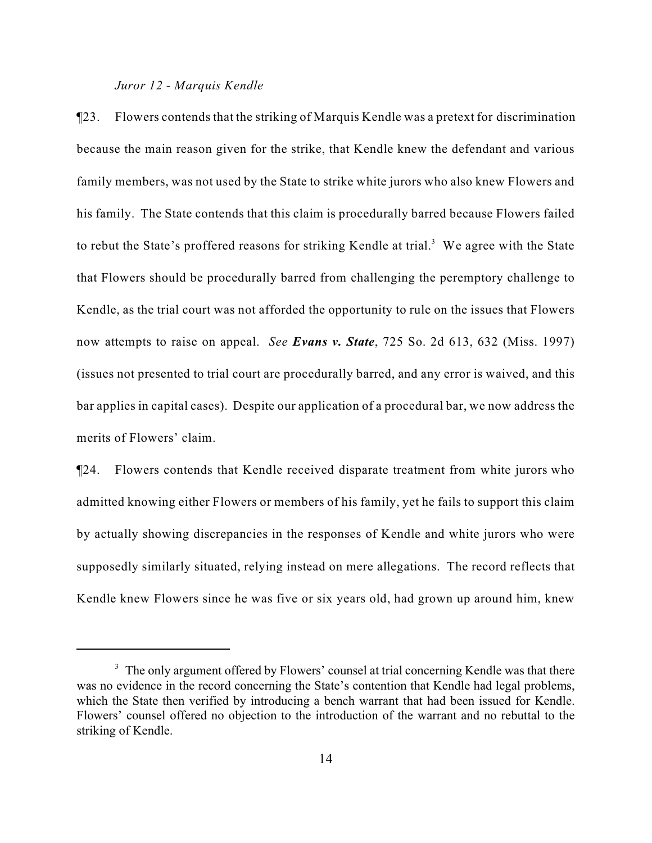#### *Juror 12 - Marquis Kendle*

¶23. Flowers contends that the striking of Marquis Kendle was a pretext for discrimination because the main reason given for the strike, that Kendle knew the defendant and various family members, was not used by the State to strike white jurors who also knew Flowers and his family. The State contends that this claim is procedurally barred because Flowers failed to rebut the State's proffered reasons for striking Kendle at trial.<sup>3</sup> We agree with the State that Flowers should be procedurally barred from challenging the peremptory challenge to Kendle, as the trial court was not afforded the opportunity to rule on the issues that Flowers now attempts to raise on appeal. *See Evans v. State*, 725 So. 2d 613, 632 (Miss. 1997) (issues not presented to trial court are procedurally barred, and any error is waived, and this bar applies in capital cases). Despite our application of a procedural bar, we now address the merits of Flowers' claim.

¶24. Flowers contends that Kendle received disparate treatment from white jurors who admitted knowing either Flowers or members of his family, yet he fails to support this claim by actually showing discrepancies in the responses of Kendle and white jurors who were supposedly similarly situated, relying instead on mere allegations. The record reflects that Kendle knew Flowers since he was five or six years old, had grown up around him, knew

 $3\text{ The only argument offered by Flowers' course}$  at trial concerning Kendle was that there was no evidence in the record concerning the State's contention that Kendle had legal problems, which the State then verified by introducing a bench warrant that had been issued for Kendle. Flowers' counsel offered no objection to the introduction of the warrant and no rebuttal to the striking of Kendle.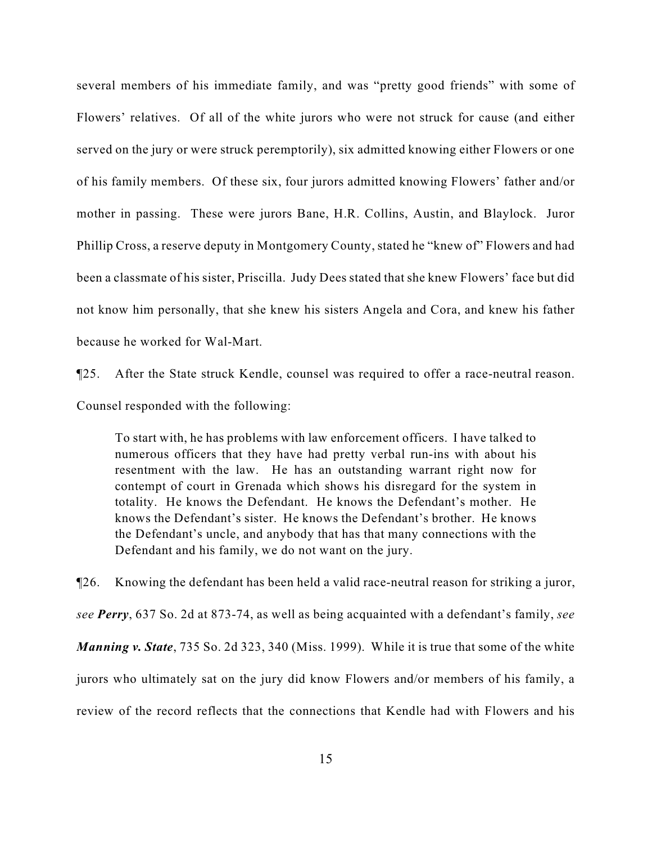several members of his immediate family, and was "pretty good friends" with some of Flowers' relatives. Of all of the white jurors who were not struck for cause (and either served on the jury or were struck peremptorily), six admitted knowing either Flowers or one of his family members. Of these six, four jurors admitted knowing Flowers' father and/or mother in passing. These were jurors Bane, H.R. Collins, Austin, and Blaylock. Juror Phillip Cross, a reserve deputy in Montgomery County, stated he "knew of" Flowers and had been a classmate of his sister, Priscilla. Judy Dees stated that she knew Flowers' face but did not know him personally, that she knew his sisters Angela and Cora, and knew his father because he worked for Wal-Mart.

¶25. After the State struck Kendle, counsel was required to offer a race-neutral reason. Counsel responded with the following:

To start with, he has problems with law enforcement officers. I have talked to numerous officers that they have had pretty verbal run-ins with about his resentment with the law. He has an outstanding warrant right now for contempt of court in Grenada which shows his disregard for the system in totality. He knows the Defendant. He knows the Defendant's mother. He knows the Defendant's sister. He knows the Defendant's brother. He knows the Defendant's uncle, and anybody that has that many connections with the Defendant and his family, we do not want on the jury.

¶26. Knowing the defendant has been held a valid race-neutral reason for striking a juror, *see Perry*, 637 So. 2d at 873-74, as well as being acquainted with a defendant's family, *see Manning v. State*, 735 So. 2d 323, 340 (Miss. 1999). While it is true that some of the white jurors who ultimately sat on the jury did know Flowers and/or members of his family, a review of the record reflects that the connections that Kendle had with Flowers and his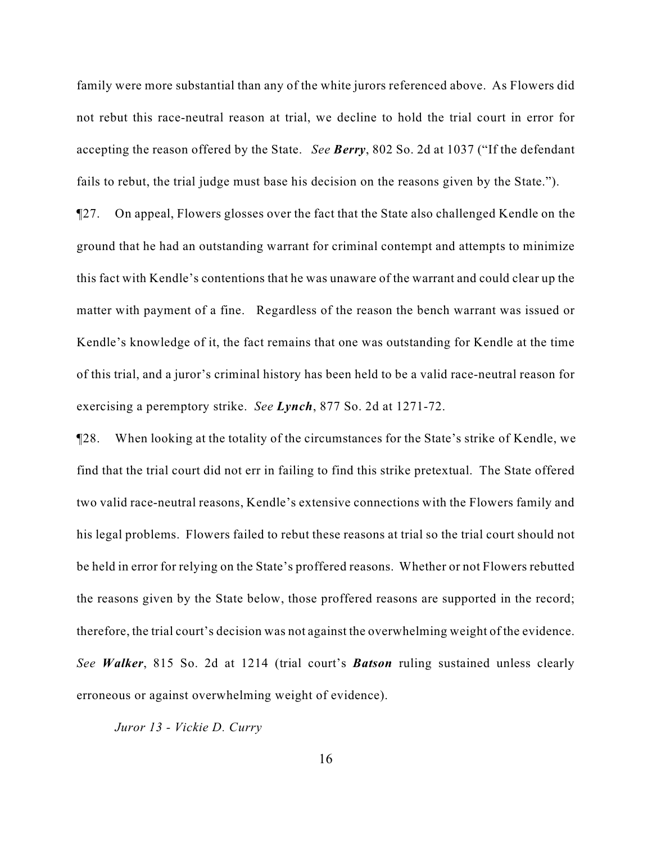family were more substantial than any of the white jurors referenced above. As Flowers did not rebut this race-neutral reason at trial, we decline to hold the trial court in error for accepting the reason offered by the State. *See Berry*, 802 So. 2d at 1037 ("If the defendant fails to rebut, the trial judge must base his decision on the reasons given by the State.").

¶27. On appeal, Flowers glosses over the fact that the State also challenged Kendle on the ground that he had an outstanding warrant for criminal contempt and attempts to minimize this fact with Kendle's contentions that he was unaware of the warrant and could clear up the matter with payment of a fine. Regardless of the reason the bench warrant was issued or Kendle's knowledge of it, the fact remains that one was outstanding for Kendle at the time of this trial, and a juror's criminal history has been held to be a valid race-neutral reason for exercising a peremptory strike. *See Lynch*, 877 So. 2d at 1271-72.

¶28. When looking at the totality of the circumstances for the State's strike of Kendle, we find that the trial court did not err in failing to find this strike pretextual. The State offered two valid race-neutral reasons, Kendle's extensive connections with the Flowers family and his legal problems. Flowers failed to rebut these reasons at trial so the trial court should not be held in error for relying on the State's proffered reasons. Whether or not Flowers rebutted the reasons given by the State below, those proffered reasons are supported in the record; therefore, the trial court's decision was not against the overwhelming weight of the evidence. *See Walker*, 815 So. 2d at 1214 (trial court's *Batson* ruling sustained unless clearly erroneous or against overwhelming weight of evidence).

*Juror 13 - Vickie D. Curry*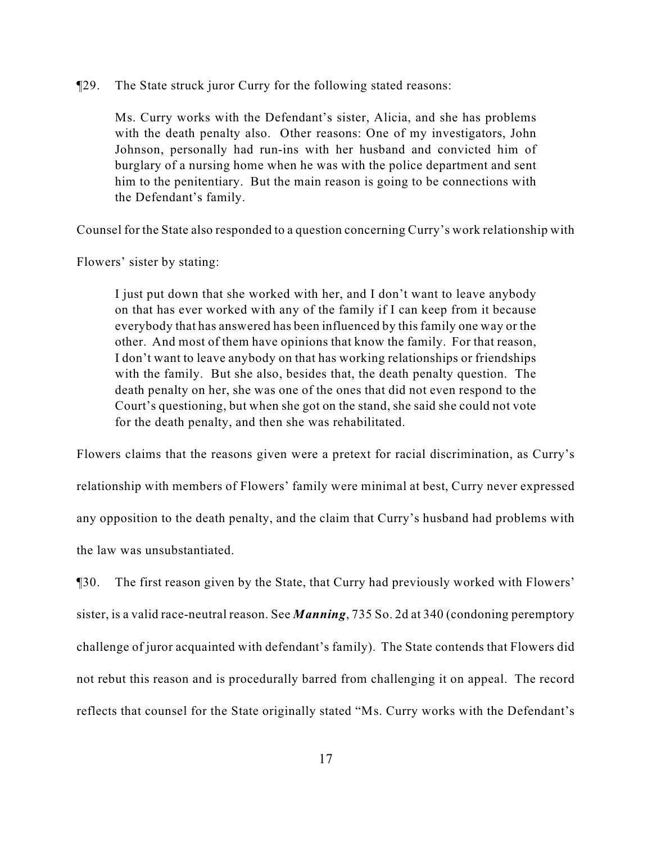¶29. The State struck juror Curry for the following stated reasons:

Ms. Curry works with the Defendant's sister, Alicia, and she has problems with the death penalty also. Other reasons: One of my investigators, John Johnson, personally had run-ins with her husband and convicted him of burglary of a nursing home when he was with the police department and sent him to the penitentiary. But the main reason is going to be connections with the Defendant's family.

Counsel for the State also responded to a question concerning Curry's work relationship with

Flowers' sister by stating:

I just put down that she worked with her, and I don't want to leave anybody on that has ever worked with any of the family if I can keep from it because everybody that has answered has been influenced by this family one way or the other. And most of them have opinions that know the family. For that reason, I don't want to leave anybody on that has working relationships or friendships with the family. But she also, besides that, the death penalty question. The death penalty on her, she was one of the ones that did not even respond to the Court's questioning, but when she got on the stand, she said she could not vote for the death penalty, and then she was rehabilitated.

Flowers claims that the reasons given were a pretext for racial discrimination, as Curry's relationship with members of Flowers' family were minimal at best, Curry never expressed any opposition to the death penalty, and the claim that Curry's husband had problems with the law was unsubstantiated.

¶30. The first reason given by the State, that Curry had previously worked with Flowers' sister, is a valid race-neutral reason. See *Manning*, 735 So. 2d at 340 (condoning peremptory challenge of juror acquainted with defendant's family). The State contends that Flowers did not rebut this reason and is procedurally barred from challenging it on appeal. The record reflects that counsel for the State originally stated "Ms. Curry works with the Defendant's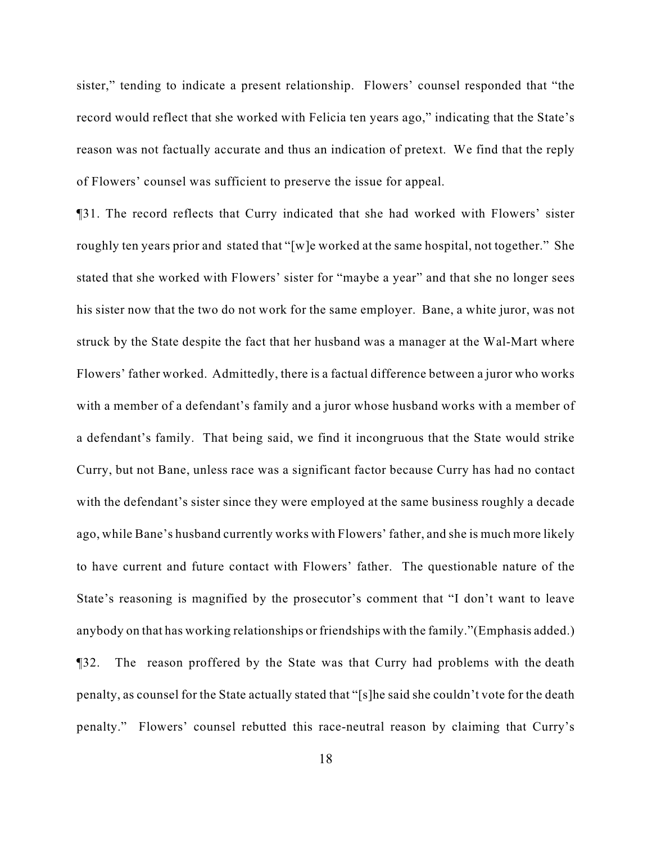sister," tending to indicate a present relationship. Flowers' counsel responded that "the record would reflect that she worked with Felicia ten years ago," indicating that the State's reason was not factually accurate and thus an indication of pretext. We find that the reply of Flowers' counsel was sufficient to preserve the issue for appeal.

¶31. The record reflects that Curry indicated that she had worked with Flowers' sister roughly ten years prior and stated that "[w]e worked at the same hospital, not together." She stated that she worked with Flowers' sister for "maybe a year" and that she no longer sees his sister now that the two do not work for the same employer. Bane, a white juror, was not struck by the State despite the fact that her husband was a manager at the Wal-Mart where Flowers' father worked. Admittedly, there is a factual difference between a juror who works with a member of a defendant's family and a juror whose husband works with a member of a defendant's family. That being said, we find it incongruous that the State would strike Curry, but not Bane, unless race was a significant factor because Curry has had no contact with the defendant's sister since they were employed at the same business roughly a decade ago, while Bane's husband currently works with Flowers' father, and she is much more likely to have current and future contact with Flowers' father. The questionable nature of the State's reasoning is magnified by the prosecutor's comment that "I don't want to leave anybody on that has working relationships or friendships with the family."(Emphasis added.) ¶32. The reason proffered by the State was that Curry had problems with the death penalty, as counsel for the State actually stated that "[s]he said she couldn't vote for the death penalty." Flowers' counsel rebutted this race-neutral reason by claiming that Curry's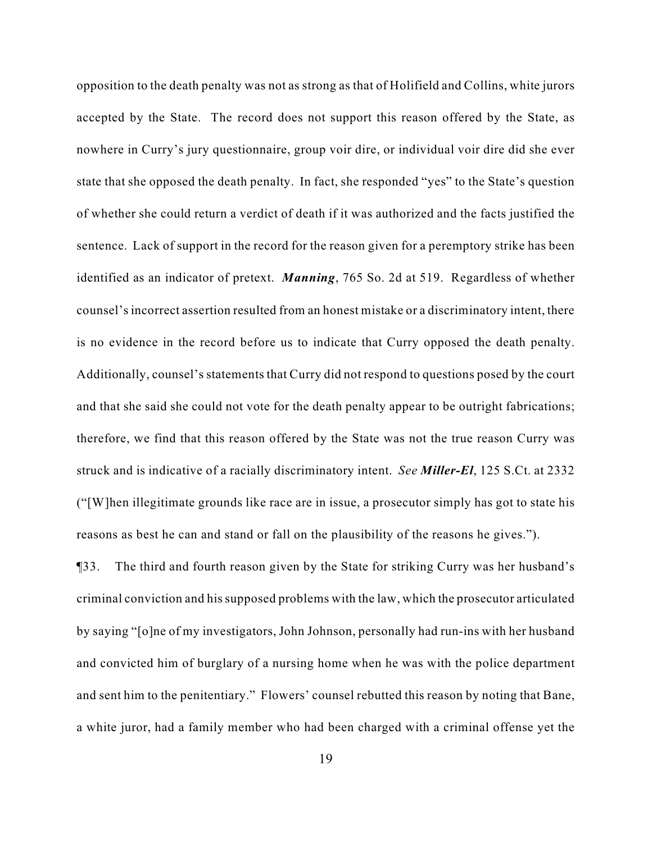opposition to the death penalty was not as strong as that of Holifield and Collins, white jurors accepted by the State. The record does not support this reason offered by the State, as nowhere in Curry's jury questionnaire, group voir dire, or individual voir dire did she ever state that she opposed the death penalty. In fact, she responded "yes" to the State's question of whether she could return a verdict of death if it was authorized and the facts justified the sentence. Lack of support in the record for the reason given for a peremptory strike has been identified as an indicator of pretext. *Manning*, 765 So. 2d at 519. Regardless of whether counsel's incorrect assertion resulted from an honest mistake or a discriminatory intent, there is no evidence in the record before us to indicate that Curry opposed the death penalty. Additionally, counsel's statements that Curry did not respond to questions posed by the court and that she said she could not vote for the death penalty appear to be outright fabrications; therefore, we find that this reason offered by the State was not the true reason Curry was struck and is indicative of a racially discriminatory intent. *See Miller-El*, 125 S.Ct. at 2332 ("[W]hen illegitimate grounds like race are in issue, a prosecutor simply has got to state his reasons as best he can and stand or fall on the plausibility of the reasons he gives.").

¶33. The third and fourth reason given by the State for striking Curry was her husband's criminal conviction and his supposed problems with the law, which the prosecutor articulated by saying "[o]ne of my investigators, John Johnson, personally had run-ins with her husband and convicted him of burglary of a nursing home when he was with the police department and sent him to the penitentiary." Flowers' counsel rebutted this reason by noting that Bane, a white juror, had a family member who had been charged with a criminal offense yet the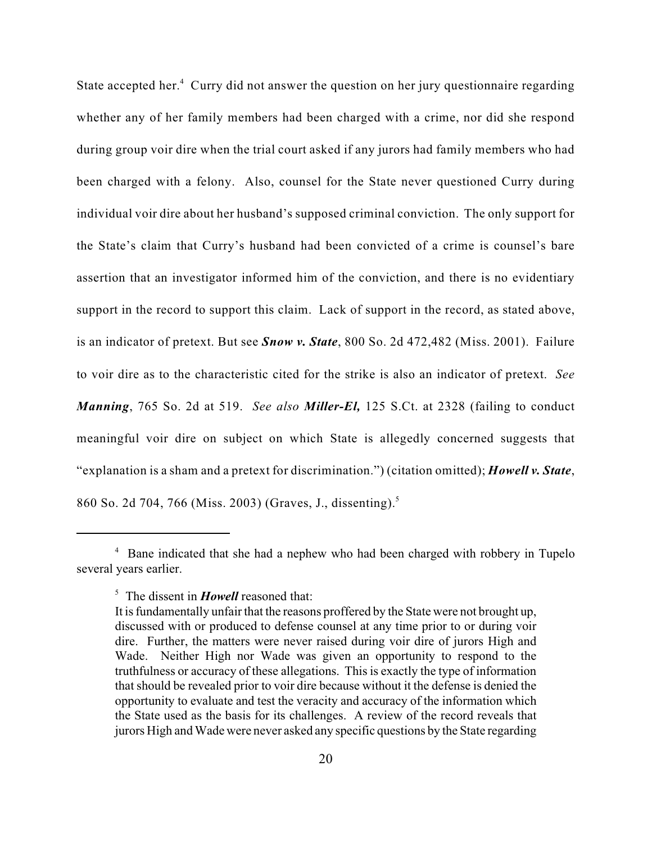State accepted her.<sup>4</sup> Curry did not answer the question on her jury questionnaire regarding whether any of her family members had been charged with a crime, nor did she respond during group voir dire when the trial court asked if any jurors had family members who had been charged with a felony. Also, counsel for the State never questioned Curry during individual voir dire about her husband's supposed criminal conviction. The only support for the State's claim that Curry's husband had been convicted of a crime is counsel's bare assertion that an investigator informed him of the conviction, and there is no evidentiary support in the record to support this claim. Lack of support in the record, as stated above, is an indicator of pretext. But see *Snow v. State*, 800 So. 2d 472,482 (Miss. 2001). Failure to voir dire as to the characteristic cited for the strike is also an indicator of pretext. *See Manning*, 765 So. 2d at 519. *See also Miller-El,* 125 S.Ct. at 2328 (failing to conduct meaningful voir dire on subject on which State is allegedly concerned suggests that "explanation is a sham and a pretext for discrimination.") (citation omitted); *Howell v. State*, 860 So. 2d 704, 766 (Miss. 2003) (Graves, J., dissenting).<sup>5</sup>

<sup>&</sup>lt;sup>4</sup> Bane indicated that she had a nephew who had been charged with robbery in Tupelo several years earlier.

<sup>&</sup>lt;sup>5</sup> The dissent in *Howell* reasoned that:

It is fundamentally unfair that the reasons proffered by the State were not brought up, discussed with or produced to defense counsel at any time prior to or during voir dire. Further, the matters were never raised during voir dire of jurors High and Wade. Neither High nor Wade was given an opportunity to respond to the truthfulness or accuracy of these allegations. This is exactly the type of information that should be revealed prior to voir dire because without it the defense is denied the opportunity to evaluate and test the veracity and accuracy of the information which the State used as the basis for its challenges. A review of the record reveals that jurors High and Wade were never asked any specific questions by the State regarding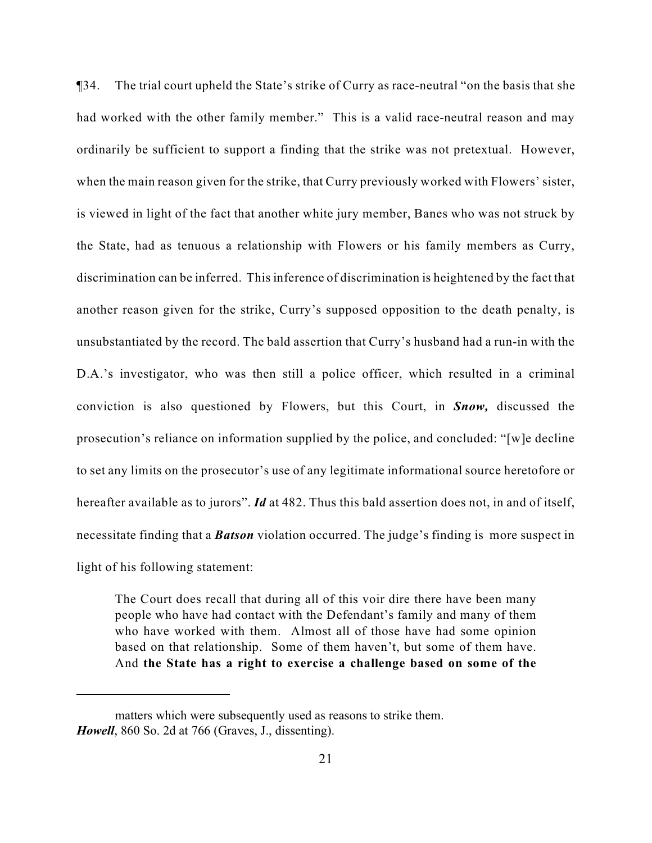¶34. The trial court upheld the State's strike of Curry as race-neutral "on the basis that she had worked with the other family member." This is a valid race-neutral reason and may ordinarily be sufficient to support a finding that the strike was not pretextual. However, when the main reason given for the strike, that Curry previously worked with Flowers' sister, is viewed in light of the fact that another white jury member, Banes who was not struck by the State, had as tenuous a relationship with Flowers or his family members as Curry, discrimination can be inferred. This inference of discrimination is heightened by the fact that another reason given for the strike, Curry's supposed opposition to the death penalty, is unsubstantiated by the record. The bald assertion that Curry's husband had a run-in with the D.A.'s investigator, who was then still a police officer, which resulted in a criminal conviction is also questioned by Flowers, but this Court, in *Snow,* discussed the prosecution's reliance on information supplied by the police, and concluded: "[w]e decline to set any limits on the prosecutor's use of any legitimate informational source heretofore or hereafter available as to jurors". *Id* at 482. Thus this bald assertion does not, in and of itself, necessitate finding that a *Batson* violation occurred. The judge's finding is more suspect in light of his following statement:

The Court does recall that during all of this voir dire there have been many people who have had contact with the Defendant's family and many of them who have worked with them. Almost all of those have had some opinion based on that relationship. Some of them haven't, but some of them have. And **the State has a right to exercise a challenge based on some of the**

matters which were subsequently used as reasons to strike them. *Howell*, 860 So. 2d at 766 (Graves, J., dissenting).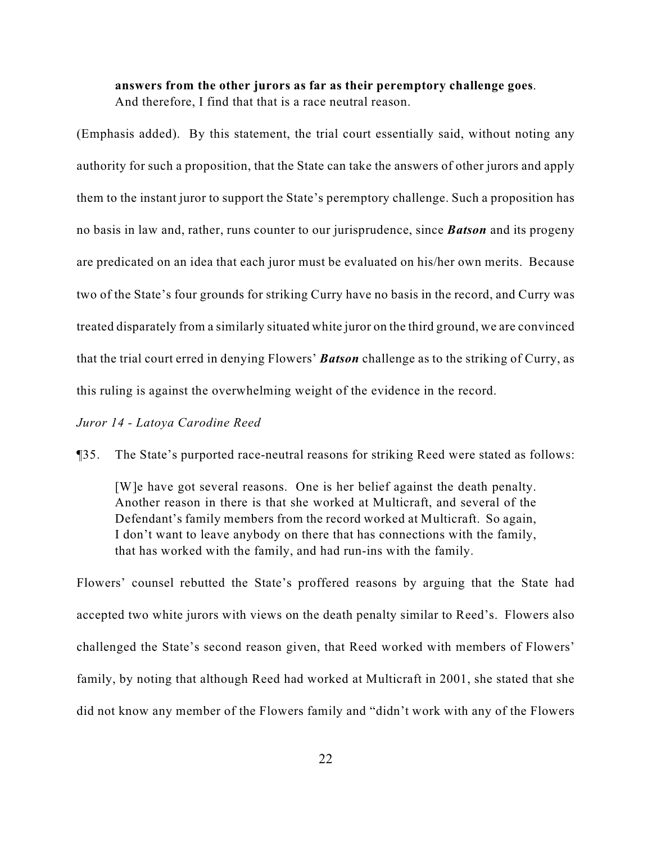# **answers from the other jurors as far as their peremptory challenge goes**. And therefore, I find that that is a race neutral reason.

(Emphasis added). By this statement, the trial court essentially said, without noting any authority for such a proposition, that the State can take the answers of other jurors and apply them to the instant juror to support the State's peremptory challenge. Such a proposition has no basis in law and, rather, runs counter to our jurisprudence, since *Batson* and its progeny are predicated on an idea that each juror must be evaluated on his/her own merits. Because two of the State's four grounds for striking Curry have no basis in the record, and Curry was treated disparately from a similarly situated white juror on the third ground, we are convinced that the trial court erred in denying Flowers' *Batson* challenge as to the striking of Curry, as this ruling is against the overwhelming weight of the evidence in the record.

#### *Juror 14 - Latoya Carodine Reed*

¶35. The State's purported race-neutral reasons for striking Reed were stated as follows:

[W]e have got several reasons. One is her belief against the death penalty. Another reason in there is that she worked at Multicraft, and several of the Defendant's family members from the record worked at Multicraft. So again, I don't want to leave anybody on there that has connections with the family, that has worked with the family, and had run-ins with the family.

Flowers' counsel rebutted the State's proffered reasons by arguing that the State had accepted two white jurors with views on the death penalty similar to Reed's. Flowers also challenged the State's second reason given, that Reed worked with members of Flowers' family, by noting that although Reed had worked at Multicraft in 2001, she stated that she did not know any member of the Flowers family and "didn't work with any of the Flowers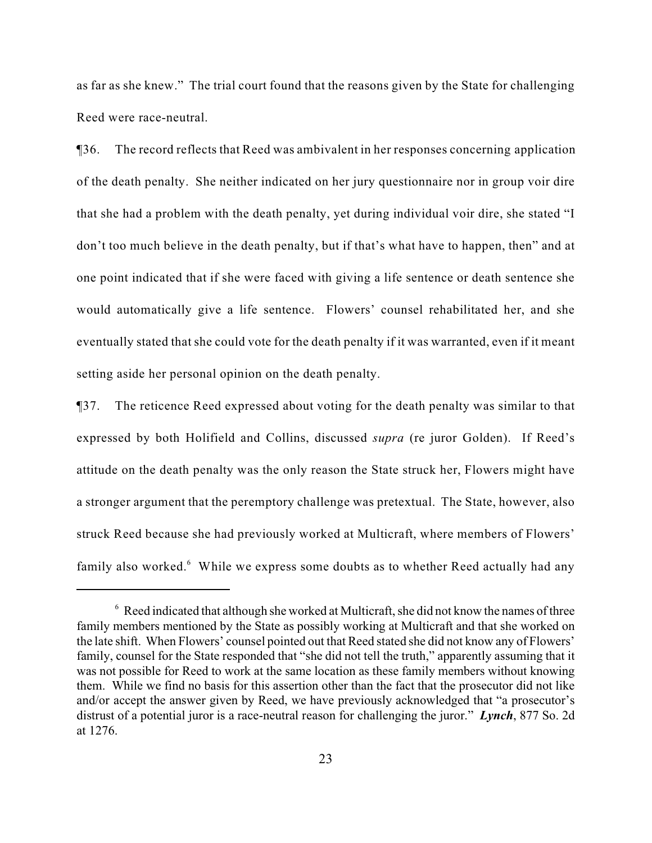as far as she knew." The trial court found that the reasons given by the State for challenging Reed were race-neutral.

¶36. The record reflects that Reed was ambivalent in her responses concerning application of the death penalty. She neither indicated on her jury questionnaire nor in group voir dire that she had a problem with the death penalty, yet during individual voir dire, she stated "I don't too much believe in the death penalty, but if that's what have to happen, then" and at one point indicated that if she were faced with giving a life sentence or death sentence she would automatically give a life sentence. Flowers' counsel rehabilitated her, and she eventually stated that she could vote for the death penalty if it was warranted, even if it meant setting aside her personal opinion on the death penalty.

¶37. The reticence Reed expressed about voting for the death penalty was similar to that expressed by both Holifield and Collins, discussed *supra* (re juror Golden). If Reed's attitude on the death penalty was the only reason the State struck her, Flowers might have a stronger argument that the peremptory challenge was pretextual. The State, however, also struck Reed because she had previously worked at Multicraft, where members of Flowers' family also worked.<sup>6</sup> While we express some doubts as to whether Reed actually had any

 $6 \text{ }$  Reed indicated that although she worked at Multicraft, she did not know the names of three family members mentioned by the State as possibly working at Multicraft and that she worked on the late shift. When Flowers' counsel pointed out that Reed stated she did not know any of Flowers' family, counsel for the State responded that "she did not tell the truth," apparently assuming that it was not possible for Reed to work at the same location as these family members without knowing them. While we find no basis for this assertion other than the fact that the prosecutor did not like and/or accept the answer given by Reed, we have previously acknowledged that "a prosecutor's distrust of a potential juror is a race-neutral reason for challenging the juror." *Lynch*, 877 So. 2d at 1276.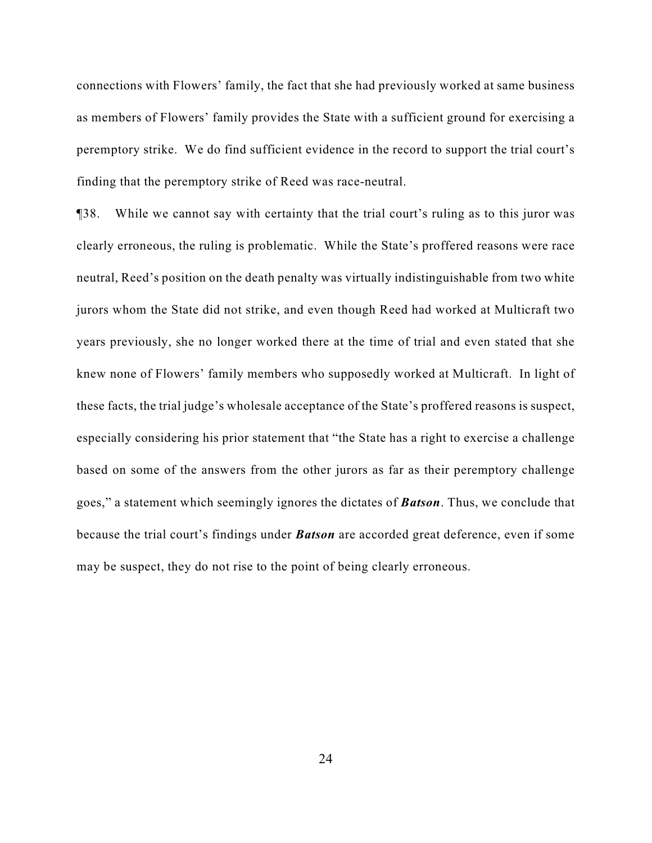connections with Flowers' family, the fact that she had previously worked at same business as members of Flowers' family provides the State with a sufficient ground for exercising a peremptory strike. We do find sufficient evidence in the record to support the trial court's finding that the peremptory strike of Reed was race-neutral.

¶38. While we cannot say with certainty that the trial court's ruling as to this juror was clearly erroneous, the ruling is problematic. While the State's proffered reasons were race neutral, Reed's position on the death penalty was virtually indistinguishable from two white jurors whom the State did not strike, and even though Reed had worked at Multicraft two years previously, she no longer worked there at the time of trial and even stated that she knew none of Flowers' family members who supposedly worked at Multicraft. In light of these facts, the trial judge's wholesale acceptance of the State's proffered reasons is suspect, especially considering his prior statement that "the State has a right to exercise a challenge based on some of the answers from the other jurors as far as their peremptory challenge goes," a statement which seemingly ignores the dictates of *Batson*. Thus, we conclude that because the trial court's findings under *Batson* are accorded great deference, even if some may be suspect, they do not rise to the point of being clearly erroneous.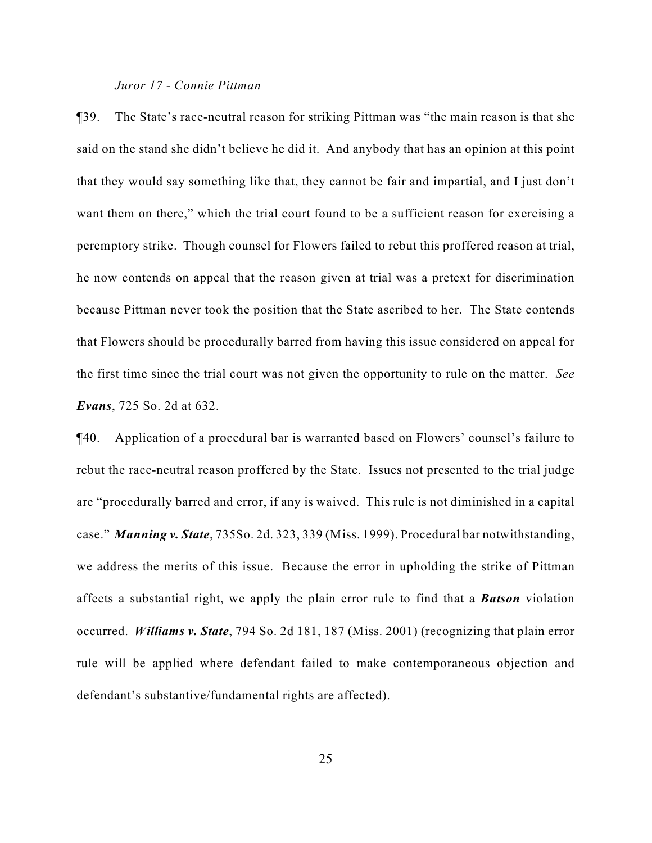#### *Juror 17 - Connie Pittman*

¶39. The State's race-neutral reason for striking Pittman was "the main reason is that she said on the stand she didn't believe he did it. And anybody that has an opinion at this point that they would say something like that, they cannot be fair and impartial, and I just don't want them on there," which the trial court found to be a sufficient reason for exercising a peremptory strike. Though counsel for Flowers failed to rebut this proffered reason at trial, he now contends on appeal that the reason given at trial was a pretext for discrimination because Pittman never took the position that the State ascribed to her. The State contends that Flowers should be procedurally barred from having this issue considered on appeal for the first time since the trial court was not given the opportunity to rule on the matter. *See Evans*, 725 So. 2d at 632.

¶40. Application of a procedural bar is warranted based on Flowers' counsel's failure to rebut the race-neutral reason proffered by the State. Issues not presented to the trial judge are "procedurally barred and error, if any is waived. This rule is not diminished in a capital case." *Manning v. State*, 735So. 2d. 323, 339 (Miss. 1999). Procedural bar notwithstanding, we address the merits of this issue. Because the error in upholding the strike of Pittman affects a substantial right, we apply the plain error rule to find that a *Batson* violation occurred. *Williams v. State*, 794 So. 2d 181, 187 (Miss. 2001) (recognizing that plain error rule will be applied where defendant failed to make contemporaneous objection and defendant's substantive/fundamental rights are affected).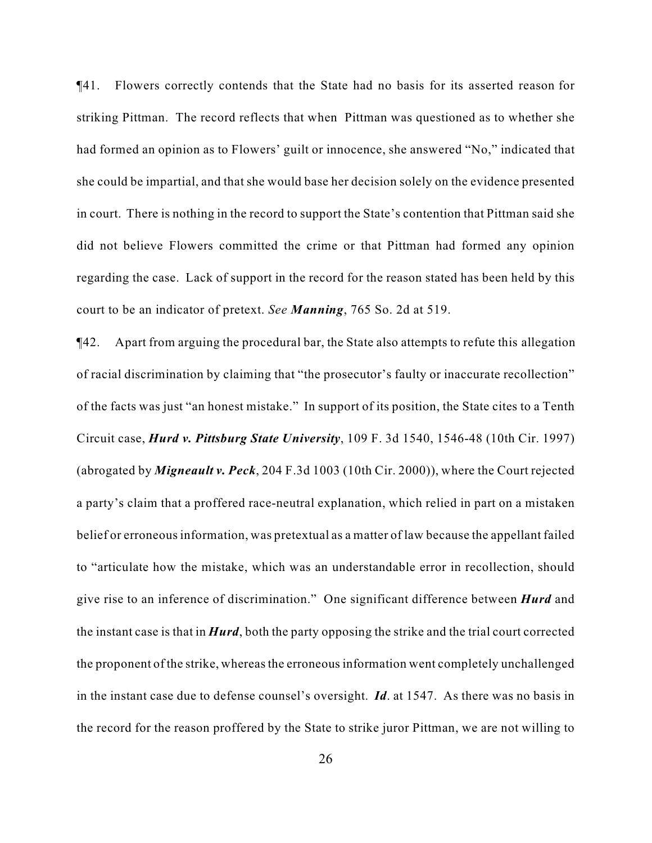¶41. Flowers correctly contends that the State had no basis for its asserted reason for striking Pittman. The record reflects that when Pittman was questioned as to whether she had formed an opinion as to Flowers' guilt or innocence, she answered "No," indicated that she could be impartial, and that she would base her decision solely on the evidence presented in court. There is nothing in the record to support the State's contention that Pittman said she did not believe Flowers committed the crime or that Pittman had formed any opinion regarding the case. Lack of support in the record for the reason stated has been held by this court to be an indicator of pretext. *See Manning*, 765 So. 2d at 519.

¶42. Apart from arguing the procedural bar, the State also attempts to refute this allegation of racial discrimination by claiming that "the prosecutor's faulty or inaccurate recollection" of the facts was just "an honest mistake." In support of its position, the State cites to a Tenth Circuit case, *Hurd v. Pittsburg State University*, 109 F. 3d 1540, 1546-48 (10th Cir. 1997) (abrogated by *Migneault v. Peck*, 204 F.3d 1003 (10th Cir. 2000)), where the Court rejected a party's claim that a proffered race-neutral explanation, which relied in part on a mistaken belief or erroneous information, was pretextual as a matter of law because the appellant failed to "articulate how the mistake, which was an understandable error in recollection, should give rise to an inference of discrimination." One significant difference between *Hurd* and the instant case is that in *Hurd*, both the party opposing the strike and the trial court corrected the proponent of the strike, whereas the erroneous information went completely unchallenged in the instant case due to defense counsel's oversight. *Id*. at 1547. As there was no basis in the record for the reason proffered by the State to strike juror Pittman, we are not willing to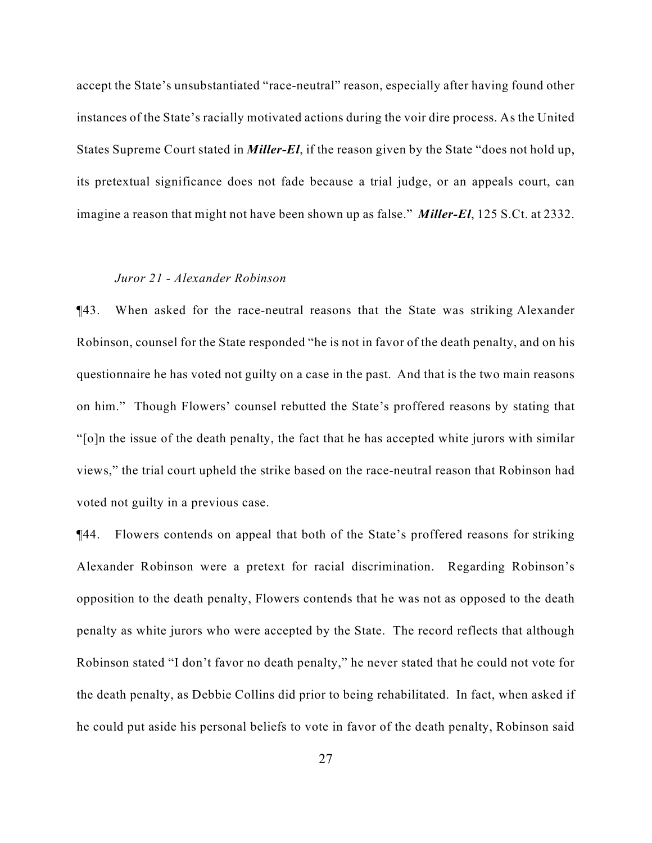accept the State's unsubstantiated "race-neutral" reason, especially after having found other instances of the State's racially motivated actions during the voir dire process. As the United States Supreme Court stated in *Miller-El*, if the reason given by the State "does not hold up, its pretextual significance does not fade because a trial judge, or an appeals court, can imagine a reason that might not have been shown up as false." *Miller-El*, 125 S.Ct. at 2332.

#### *Juror 21 - Alexander Robinson*

¶43. When asked for the race-neutral reasons that the State was striking Alexander Robinson, counsel for the State responded "he is not in favor of the death penalty, and on his questionnaire he has voted not guilty on a case in the past. And that is the two main reasons on him." Though Flowers' counsel rebutted the State's proffered reasons by stating that "[o]n the issue of the death penalty, the fact that he has accepted white jurors with similar views," the trial court upheld the strike based on the race-neutral reason that Robinson had voted not guilty in a previous case.

¶44. Flowers contends on appeal that both of the State's proffered reasons for striking Alexander Robinson were a pretext for racial discrimination. Regarding Robinson's opposition to the death penalty, Flowers contends that he was not as opposed to the death penalty as white jurors who were accepted by the State. The record reflects that although Robinson stated "I don't favor no death penalty," he never stated that he could not vote for the death penalty, as Debbie Collins did prior to being rehabilitated. In fact, when asked if he could put aside his personal beliefs to vote in favor of the death penalty, Robinson said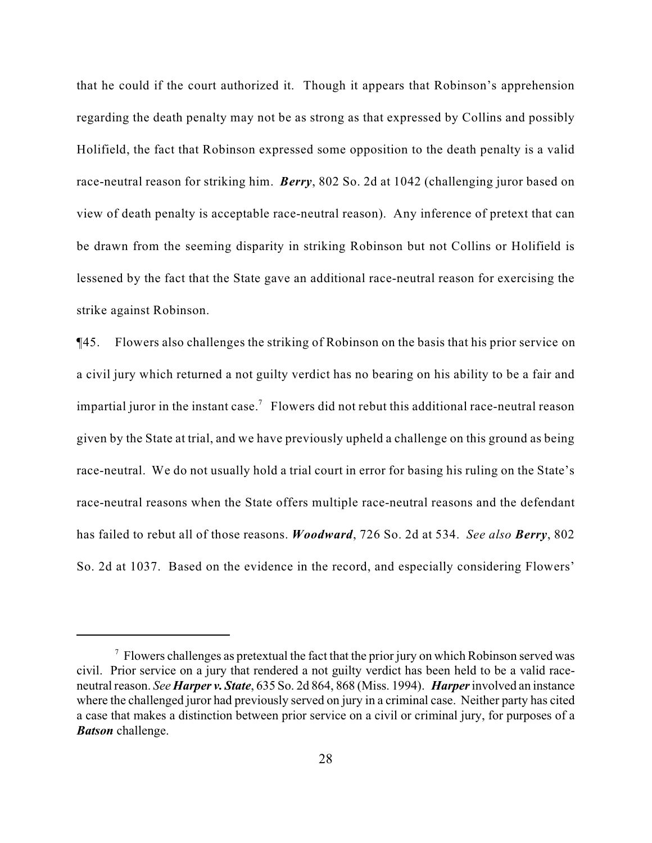that he could if the court authorized it. Though it appears that Robinson's apprehension regarding the death penalty may not be as strong as that expressed by Collins and possibly Holifield, the fact that Robinson expressed some opposition to the death penalty is a valid race-neutral reason for striking him. *Berry*, 802 So. 2d at 1042 (challenging juror based on view of death penalty is acceptable race-neutral reason). Any inference of pretext that can be drawn from the seeming disparity in striking Robinson but not Collins or Holifield is lessened by the fact that the State gave an additional race-neutral reason for exercising the strike against Robinson.

¶45. Flowers also challenges the striking of Robinson on the basis that his prior service on a civil jury which returned a not guilty verdict has no bearing on his ability to be a fair and impartial juror in the instant case.<sup>7</sup> Flowers did not rebut this additional race-neutral reason given by the State at trial, and we have previously upheld a challenge on this ground as being race-neutral. We do not usually hold a trial court in error for basing his ruling on the State's race-neutral reasons when the State offers multiple race-neutral reasons and the defendant has failed to rebut all of those reasons. *Woodward*, 726 So. 2d at 534. *See also Berry*, 802 So. 2d at 1037. Based on the evidence in the record, and especially considering Flowers'

 $\sigma$  Flowers challenges as pretextual the fact that the prior jury on which Robinson served was civil. Prior service on a jury that rendered a not guilty verdict has been held to be a valid raceneutral reason. *See Harper v. State*, 635 So. 2d 864, 868 (Miss. 1994). *Harper* involved an instance where the challenged juror had previously served on jury in a criminal case. Neither party has cited a case that makes a distinction between prior service on a civil or criminal jury, for purposes of a *Batson* challenge.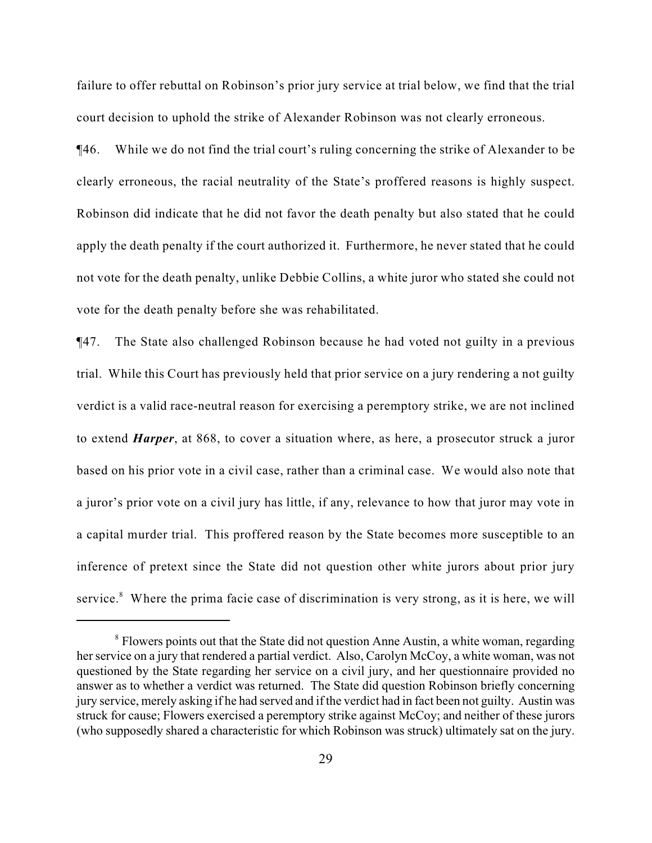failure to offer rebuttal on Robinson's prior jury service at trial below, we find that the trial court decision to uphold the strike of Alexander Robinson was not clearly erroneous.

¶46. While we do not find the trial court's ruling concerning the strike of Alexander to be clearly erroneous, the racial neutrality of the State's proffered reasons is highly suspect. Robinson did indicate that he did not favor the death penalty but also stated that he could apply the death penalty if the court authorized it. Furthermore, he never stated that he could not vote for the death penalty, unlike Debbie Collins, a white juror who stated she could not vote for the death penalty before she was rehabilitated.

¶47. The State also challenged Robinson because he had voted not guilty in a previous trial. While this Court has previously held that prior service on a jury rendering a not guilty verdict is a valid race-neutral reason for exercising a peremptory strike, we are not inclined to extend *Harper*, at 868, to cover a situation where, as here, a prosecutor struck a juror based on his prior vote in a civil case, rather than a criminal case. We would also note that a juror's prior vote on a civil jury has little, if any, relevance to how that juror may vote in a capital murder trial. This proffered reason by the State becomes more susceptible to an inference of pretext since the State did not question other white jurors about prior jury service. $8$  Where the prima facie case of discrimination is very strong, as it is here, we will

 $\delta$  Flowers points out that the State did not question Anne Austin, a white woman, regarding her service on a jury that rendered a partial verdict. Also, Carolyn McCoy, a white woman, was not questioned by the State regarding her service on a civil jury, and her questionnaire provided no answer as to whether a verdict was returned. The State did question Robinson briefly concerning jury service, merely asking if he had served and if the verdict had in fact been not guilty. Austin was struck for cause; Flowers exercised a peremptory strike against McCoy; and neither of these jurors (who supposedly shared a characteristic for which Robinson was struck) ultimately sat on the jury.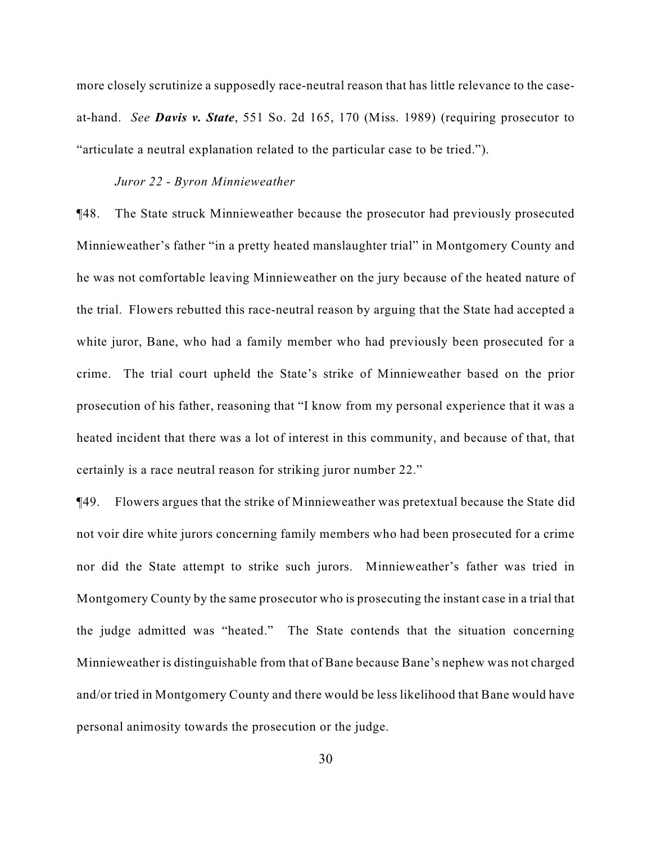more closely scrutinize a supposedly race-neutral reason that has little relevance to the caseat-hand. *See Davis v. State*, 551 So. 2d 165, 170 (Miss. 1989) (requiring prosecutor to "articulate a neutral explanation related to the particular case to be tried.").

### *Juror 22 - Byron Minnieweather*

¶48. The State struck Minnieweather because the prosecutor had previously prosecuted Minnieweather's father "in a pretty heated manslaughter trial" in Montgomery County and he was not comfortable leaving Minnieweather on the jury because of the heated nature of the trial. Flowers rebutted this race-neutral reason by arguing that the State had accepted a white juror, Bane, who had a family member who had previously been prosecuted for a crime. The trial court upheld the State's strike of Minnieweather based on the prior prosecution of his father, reasoning that "I know from my personal experience that it was a heated incident that there was a lot of interest in this community, and because of that, that certainly is a race neutral reason for striking juror number 22."

¶49. Flowers argues that the strike of Minnieweather was pretextual because the State did not voir dire white jurors concerning family members who had been prosecuted for a crime nor did the State attempt to strike such jurors. Minnieweather's father was tried in Montgomery County by the same prosecutor who is prosecuting the instant case in a trial that the judge admitted was "heated." The State contends that the situation concerning Minnieweather is distinguishable from that of Bane because Bane's nephew was not charged and/or tried in Montgomery County and there would be less likelihood that Bane would have personal animosity towards the prosecution or the judge.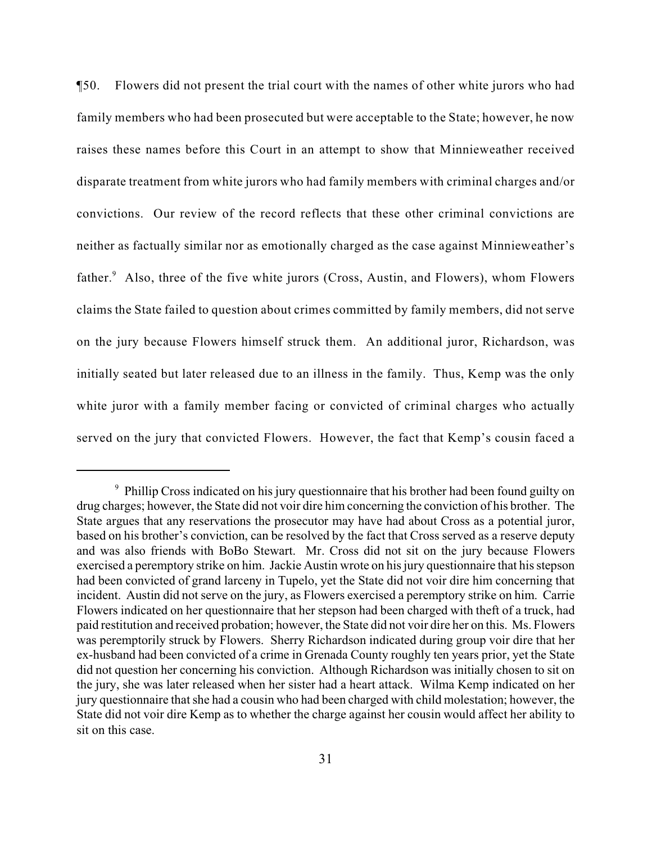¶50. Flowers did not present the trial court with the names of other white jurors who had family members who had been prosecuted but were acceptable to the State; however, he now raises these names before this Court in an attempt to show that Minnieweather received disparate treatment from white jurors who had family members with criminal charges and/or convictions. Our review of the record reflects that these other criminal convictions are neither as factually similar nor as emotionally charged as the case against Minnieweather's father. $A$ lso, three of the five white jurors (Cross, Austin, and Flowers), whom Flowers claims the State failed to question about crimes committed by family members, did not serve on the jury because Flowers himself struck them. An additional juror, Richardson, was initially seated but later released due to an illness in the family. Thus, Kemp was the only white juror with a family member facing or convicted of criminal charges who actually served on the jury that convicted Flowers. However, the fact that Kemp's cousin faced a

 $\degree$  Phillip Cross indicated on his jury questionnaire that his brother had been found guilty on drug charges; however, the State did not voir dire him concerning the conviction of his brother. The State argues that any reservations the prosecutor may have had about Cross as a potential juror, based on his brother's conviction, can be resolved by the fact that Cross served as a reserve deputy and was also friends with BoBo Stewart. Mr. Cross did not sit on the jury because Flowers exercised a peremptory strike on him. Jackie Austin wrote on his jury questionnaire that his stepson had been convicted of grand larceny in Tupelo, yet the State did not voir dire him concerning that incident. Austin did not serve on the jury, as Flowers exercised a peremptory strike on him. Carrie Flowers indicated on her questionnaire that her stepson had been charged with theft of a truck, had paid restitution and received probation; however, the State did not voir dire her on this. Ms. Flowers was peremptorily struck by Flowers. Sherry Richardson indicated during group voir dire that her ex-husband had been convicted of a crime in Grenada County roughly ten years prior, yet the State did not question her concerning his conviction. Although Richardson was initially chosen to sit on the jury, she was later released when her sister had a heart attack. Wilma Kemp indicated on her jury questionnaire that she had a cousin who had been charged with child molestation; however, the State did not voir dire Kemp as to whether the charge against her cousin would affect her ability to sit on this case.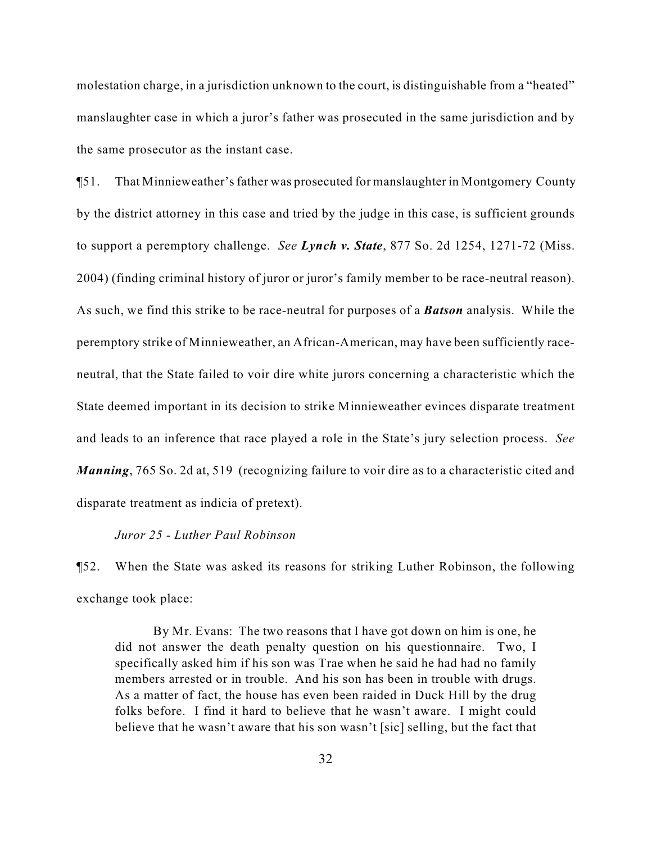molestation charge, in a jurisdiction unknown to the court, is distinguishable from a "heated" manslaughter case in which a juror's father was prosecuted in the same jurisdiction and by the same prosecutor as the instant case.

¶51. That Minnieweather's father was prosecuted for manslaughter in Montgomery County by the district attorney in this case and tried by the judge in this case, is sufficient grounds to support a peremptory challenge. *See Lynch v. State*, 877 So. 2d 1254, 1271-72 (Miss. 2004) (finding criminal history of juror or juror's family member to be race-neutral reason). As such, we find this strike to be race-neutral for purposes of a *Batson* analysis. While the peremptory strike of Minnieweather, an African-American, may have been sufficiently raceneutral, that the State failed to voir dire white jurors concerning a characteristic which the State deemed important in its decision to strike Minnieweather evinces disparate treatment and leads to an inference that race played a role in the State's jury selection process. *See Manning*, 765 So. 2d at, 519 (recognizing failure to voir dire as to a characteristic cited and disparate treatment as indicia of pretext).

#### *Juror 25 - Luther Paul Robinson*

¶52. When the State was asked its reasons for striking Luther Robinson, the following exchange took place:

By Mr. Evans: The two reasons that I have got down on him is one, he did not answer the death penalty question on his questionnaire. Two, I specifically asked him if his son was Trae when he said he had had no family members arrested or in trouble. And his son has been in trouble with drugs. As a matter of fact, the house has even been raided in Duck Hill by the drug folks before. I find it hard to believe that he wasn't aware. I might could believe that he wasn't aware that his son wasn't [sic] selling, but the fact that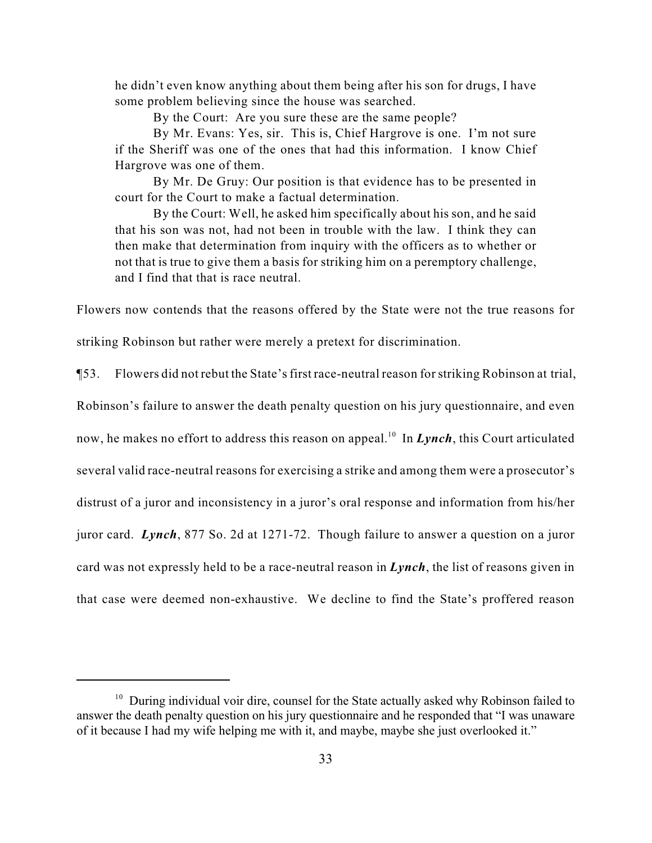he didn't even know anything about them being after his son for drugs, I have some problem believing since the house was searched.

By the Court: Are you sure these are the same people?

By Mr. Evans: Yes, sir. This is, Chief Hargrove is one. I'm not sure if the Sheriff was one of the ones that had this information. I know Chief Hargrove was one of them.

By Mr. De Gruy: Our position is that evidence has to be presented in court for the Court to make a factual determination.

By the Court: Well, he asked him specifically about his son, and he said that his son was not, had not been in trouble with the law. I think they can then make that determination from inquiry with the officers as to whether or not that is true to give them a basis for striking him on a peremptory challenge, and I find that that is race neutral.

Flowers now contends that the reasons offered by the State were not the true reasons for

striking Robinson but rather were merely a pretext for discrimination.

¶53. Flowers did not rebut the State's first race-neutral reason for striking Robinson at trial,

Robinson's failure to answer the death penalty question on his jury questionnaire, and even

now, he makes no effort to address this reason on appeal.<sup>10</sup> In *Lynch*, this Court articulated

several valid race-neutral reasons for exercising a strike and among them were a prosecutor's

distrust of a juror and inconsistency in a juror's oral response and information from his/her

juror card. *Lynch*, 877 So. 2d at 1271-72. Though failure to answer a question on a juror

card was not expressly held to be a race-neutral reason in *Lynch*, the list of reasons given in

that case were deemed non-exhaustive. We decline to find the State's proffered reason

 $10$  During individual voir dire, counsel for the State actually asked why Robinson failed to answer the death penalty question on his jury questionnaire and he responded that "I was unaware of it because I had my wife helping me with it, and maybe, maybe she just overlooked it."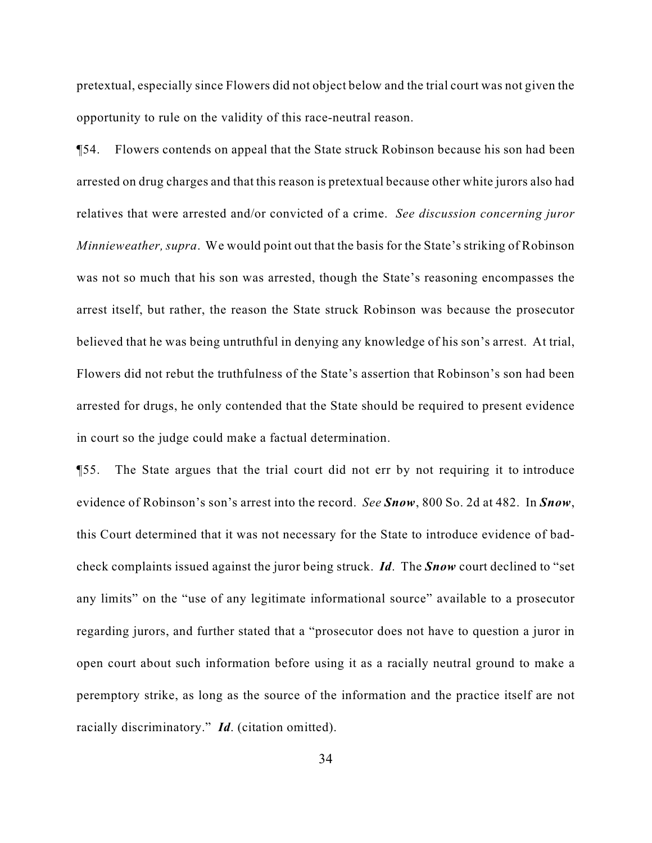pretextual, especially since Flowers did not object below and the trial court was not given the opportunity to rule on the validity of this race-neutral reason.

¶54. Flowers contends on appeal that the State struck Robinson because his son had been arrested on drug charges and that this reason is pretextual because other white jurors also had relatives that were arrested and/or convicted of a crime. *See discussion concerning juror Minnieweather, supra*. We would point out that the basis for the State's striking of Robinson was not so much that his son was arrested, though the State's reasoning encompasses the arrest itself, but rather, the reason the State struck Robinson was because the prosecutor believed that he was being untruthful in denying any knowledge of his son's arrest. At trial, Flowers did not rebut the truthfulness of the State's assertion that Robinson's son had been arrested for drugs, he only contended that the State should be required to present evidence in court so the judge could make a factual determination.

¶55. The State argues that the trial court did not err by not requiring it to introduce evidence of Robinson's son's arrest into the record. *See Snow*, 800 So. 2d at 482. In *Snow*, this Court determined that it was not necessary for the State to introduce evidence of badcheck complaints issued against the juror being struck. *Id*. The *Snow* court declined to "set any limits" on the "use of any legitimate informational source" available to a prosecutor regarding jurors, and further stated that a "prosecutor does not have to question a juror in open court about such information before using it as a racially neutral ground to make a peremptory strike, as long as the source of the information and the practice itself are not racially discriminatory." *Id*. (citation omitted).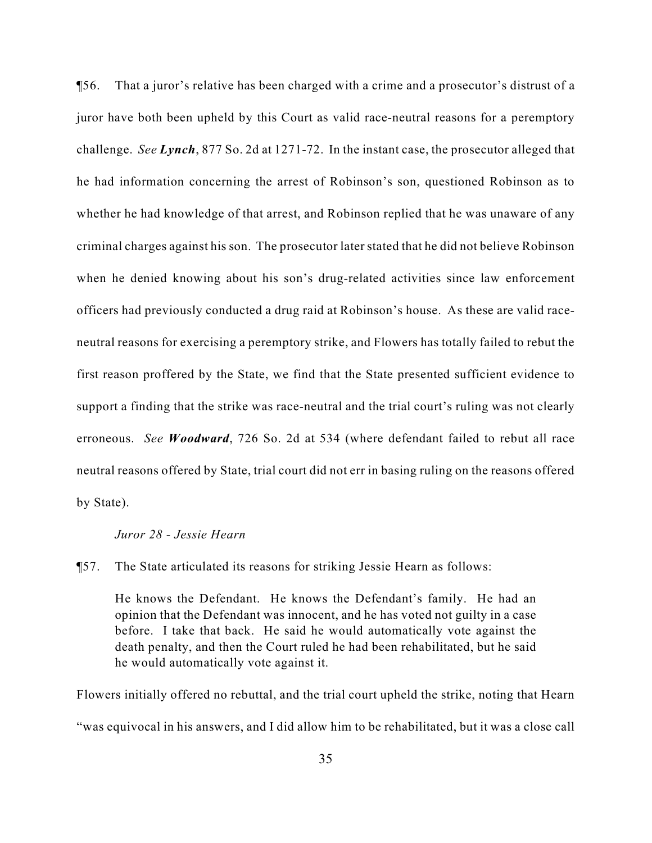¶56. That a juror's relative has been charged with a crime and a prosecutor's distrust of a juror have both been upheld by this Court as valid race-neutral reasons for a peremptory challenge. *See Lynch*, 877 So. 2d at 1271-72. In the instant case, the prosecutor alleged that he had information concerning the arrest of Robinson's son, questioned Robinson as to whether he had knowledge of that arrest, and Robinson replied that he was unaware of any criminal charges against his son. The prosecutor later stated that he did not believe Robinson when he denied knowing about his son's drug-related activities since law enforcement officers had previously conducted a drug raid at Robinson's house. As these are valid raceneutral reasons for exercising a peremptory strike, and Flowers has totally failed to rebut the first reason proffered by the State, we find that the State presented sufficient evidence to support a finding that the strike was race-neutral and the trial court's ruling was not clearly erroneous. *See Woodward*, 726 So. 2d at 534 (where defendant failed to rebut all race neutral reasons offered by State, trial court did not err in basing ruling on the reasons offered by State).

#### *Juror 28 - Jessie Hearn*

¶57. The State articulated its reasons for striking Jessie Hearn as follows:

He knows the Defendant. He knows the Defendant's family. He had an opinion that the Defendant was innocent, and he has voted not guilty in a case before. I take that back. He said he would automatically vote against the death penalty, and then the Court ruled he had been rehabilitated, but he said he would automatically vote against it.

Flowers initially offered no rebuttal, and the trial court upheld the strike, noting that Hearn "was equivocal in his answers, and I did allow him to be rehabilitated, but it was a close call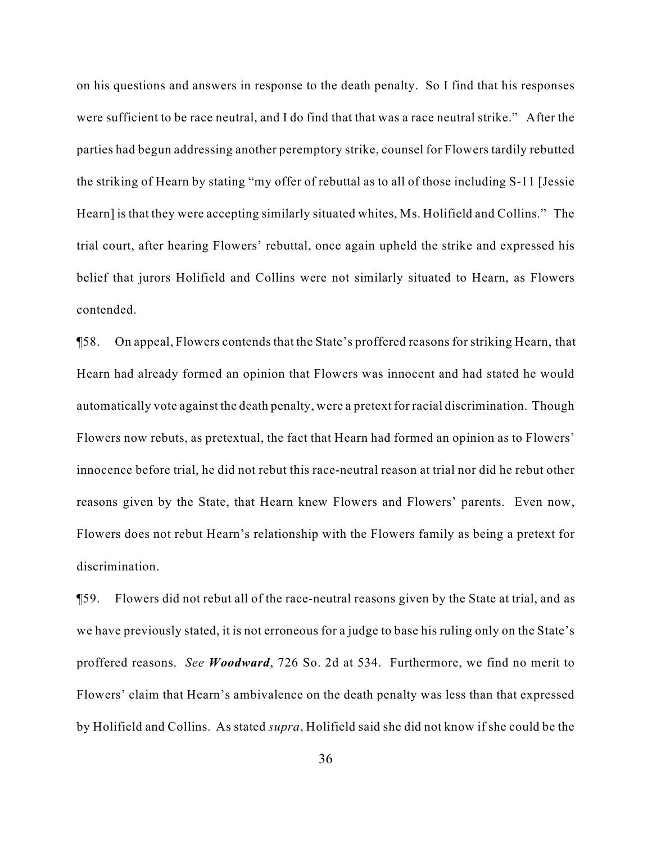on his questions and answers in response to the death penalty. So I find that his responses were sufficient to be race neutral, and I do find that that was a race neutral strike." After the parties had begun addressing another peremptory strike, counsel for Flowers tardily rebutted the striking of Hearn by stating "my offer of rebuttal as to all of those including S-11 [Jessie Hearn] is that they were accepting similarly situated whites, Ms. Holifield and Collins." The trial court, after hearing Flowers' rebuttal, once again upheld the strike and expressed his belief that jurors Holifield and Collins were not similarly situated to Hearn, as Flowers contended.

¶58. On appeal, Flowers contends that the State's proffered reasons for striking Hearn, that Hearn had already formed an opinion that Flowers was innocent and had stated he would automatically vote against the death penalty, were a pretext for racial discrimination. Though Flowers now rebuts, as pretextual, the fact that Hearn had formed an opinion as to Flowers' innocence before trial, he did not rebut this race-neutral reason at trial nor did he rebut other reasons given by the State, that Hearn knew Flowers and Flowers' parents. Even now, Flowers does not rebut Hearn's relationship with the Flowers family as being a pretext for discrimination.

¶59. Flowers did not rebut all of the race-neutral reasons given by the State at trial, and as we have previously stated, it is not erroneous for a judge to base his ruling only on the State's proffered reasons. *See Woodward*, 726 So. 2d at 534. Furthermore, we find no merit to Flowers' claim that Hearn's ambivalence on the death penalty was less than that expressed by Holifield and Collins. As stated *supra*, Holifield said she did not know if she could be the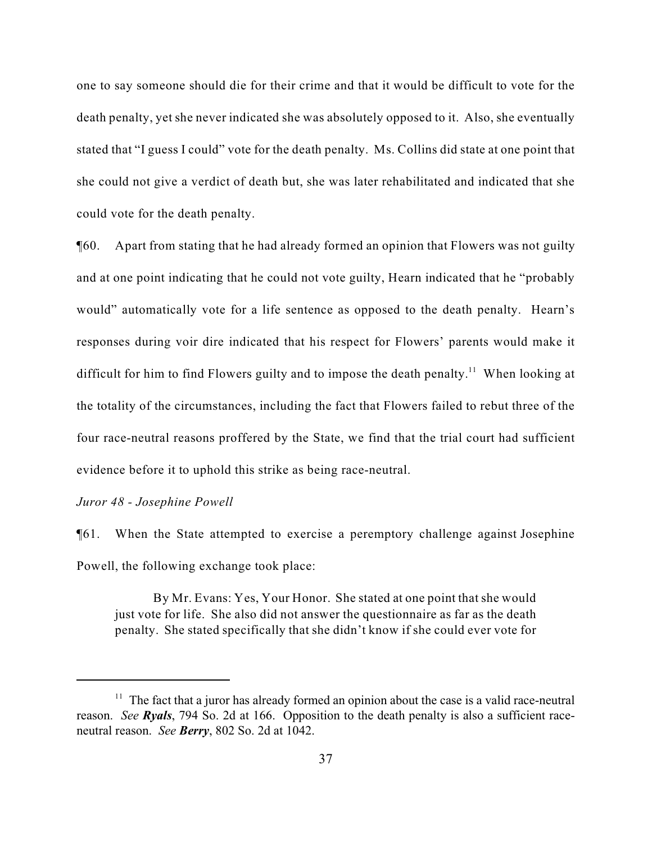one to say someone should die for their crime and that it would be difficult to vote for the death penalty, yet she never indicated she was absolutely opposed to it. Also, she eventually stated that "I guess I could" vote for the death penalty. Ms. Collins did state at one point that she could not give a verdict of death but, she was later rehabilitated and indicated that she could vote for the death penalty.

¶60. Apart from stating that he had already formed an opinion that Flowers was not guilty and at one point indicating that he could not vote guilty, Hearn indicated that he "probably would" automatically vote for a life sentence as opposed to the death penalty. Hearn's responses during voir dire indicated that his respect for Flowers' parents would make it difficult for him to find Flowers guilty and to impose the death penalty.<sup>11</sup> When looking at the totality of the circumstances, including the fact that Flowers failed to rebut three of the four race-neutral reasons proffered by the State, we find that the trial court had sufficient evidence before it to uphold this strike as being race-neutral.

#### *Juror 48 - Josephine Powell*

¶61. When the State attempted to exercise a peremptory challenge against Josephine Powell, the following exchange took place:

By Mr. Evans: Yes, Your Honor. She stated at one point that she would just vote for life. She also did not answer the questionnaire as far as the death penalty. She stated specifically that she didn't know if she could ever vote for

 $11$  The fact that a juror has already formed an opinion about the case is a valid race-neutral reason. *See Ryals*, 794 So. 2d at 166. Opposition to the death penalty is also a sufficient raceneutral reason. *See Berry*, 802 So. 2d at 1042.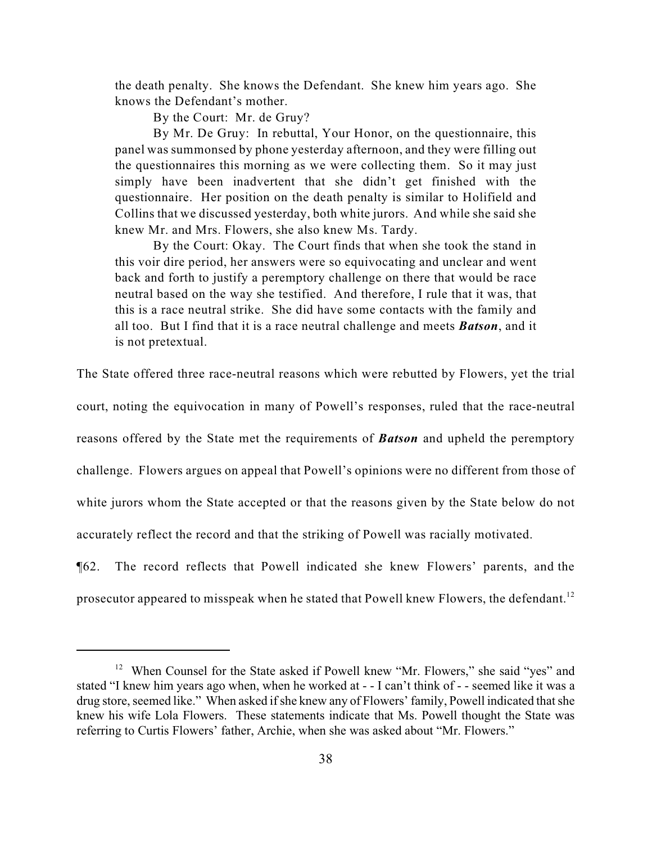the death penalty. She knows the Defendant. She knew him years ago. She knows the Defendant's mother.

By the Court: Mr. de Gruy?

By Mr. De Gruy: In rebuttal, Your Honor, on the questionnaire, this panel was summonsed by phone yesterday afternoon, and they were filling out the questionnaires this morning as we were collecting them. So it may just simply have been inadvertent that she didn't get finished with the questionnaire. Her position on the death penalty is similar to Holifield and Collins that we discussed yesterday, both white jurors. And while she said she knew Mr. and Mrs. Flowers, she also knew Ms. Tardy.

By the Court: Okay. The Court finds that when she took the stand in this voir dire period, her answers were so equivocating and unclear and went back and forth to justify a peremptory challenge on there that would be race neutral based on the way she testified. And therefore, I rule that it was, that this is a race neutral strike. She did have some contacts with the family and all too. But I find that it is a race neutral challenge and meets *Batson*, and it is not pretextual.

The State offered three race-neutral reasons which were rebutted by Flowers, yet the trial

court, noting the equivocation in many of Powell's responses, ruled that the race-neutral

reasons offered by the State met the requirements of *Batson* and upheld the peremptory

challenge. Flowers argues on appeal that Powell's opinions were no different from those of

white jurors whom the State accepted or that the reasons given by the State below do not

accurately reflect the record and that the striking of Powell was racially motivated.

¶62. The record reflects that Powell indicated she knew Flowers' parents, and the prosecutor appeared to misspeak when he stated that Powell knew Flowers, the defendant.<sup>12</sup>

 $12$  When Counsel for the State asked if Powell knew "Mr. Flowers," she said "yes" and stated "I knew him years ago when, when he worked at - - I can't think of - - seemed like it was a drug store, seemed like." When asked if she knew any of Flowers' family, Powell indicated that she knew his wife Lola Flowers. These statements indicate that Ms. Powell thought the State was referring to Curtis Flowers' father, Archie, when she was asked about "Mr. Flowers."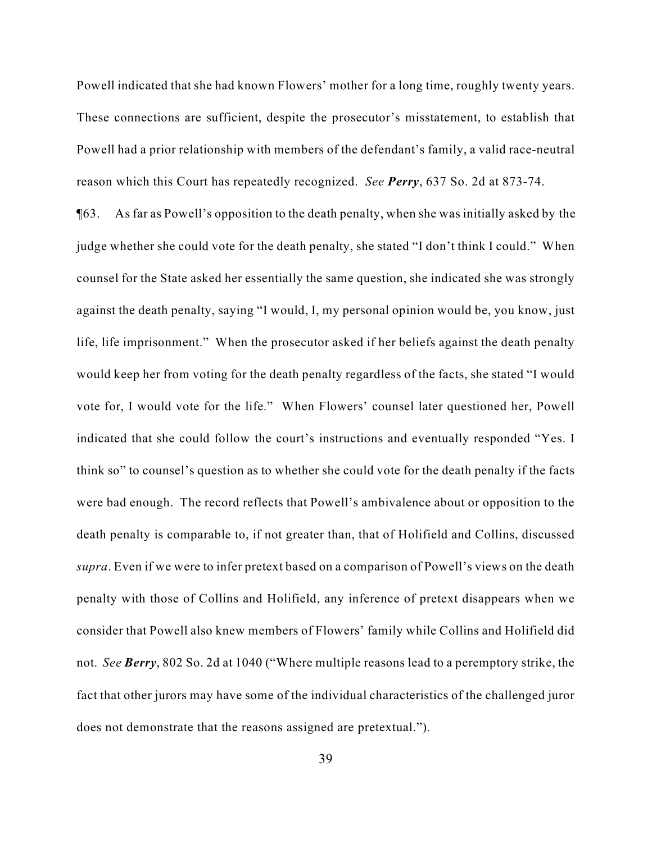Powell indicated that she had known Flowers' mother for a long time, roughly twenty years. These connections are sufficient, despite the prosecutor's misstatement, to establish that Powell had a prior relationship with members of the defendant's family, a valid race-neutral reason which this Court has repeatedly recognized. *See Perry*, 637 So. 2d at 873-74.

¶63. As far as Powell's opposition to the death penalty, when she was initially asked by the judge whether she could vote for the death penalty, she stated "I don't think I could." When counsel for the State asked her essentially the same question, she indicated she was strongly against the death penalty, saying "I would, I, my personal opinion would be, you know, just life, life imprisonment." When the prosecutor asked if her beliefs against the death penalty would keep her from voting for the death penalty regardless of the facts, she stated "I would vote for, I would vote for the life." When Flowers' counsel later questioned her, Powell indicated that she could follow the court's instructions and eventually responded "Yes. I think so" to counsel's question as to whether she could vote for the death penalty if the facts were bad enough. The record reflects that Powell's ambivalence about or opposition to the death penalty is comparable to, if not greater than, that of Holifield and Collins, discussed *supra*. Even if we were to infer pretext based on a comparison of Powell's views on the death penalty with those of Collins and Holifield, any inference of pretext disappears when we consider that Powell also knew members of Flowers' family while Collins and Holifield did not. *See Berry*, 802 So. 2d at 1040 ("Where multiple reasons lead to a peremptory strike, the fact that other jurors may have some of the individual characteristics of the challenged juror does not demonstrate that the reasons assigned are pretextual.").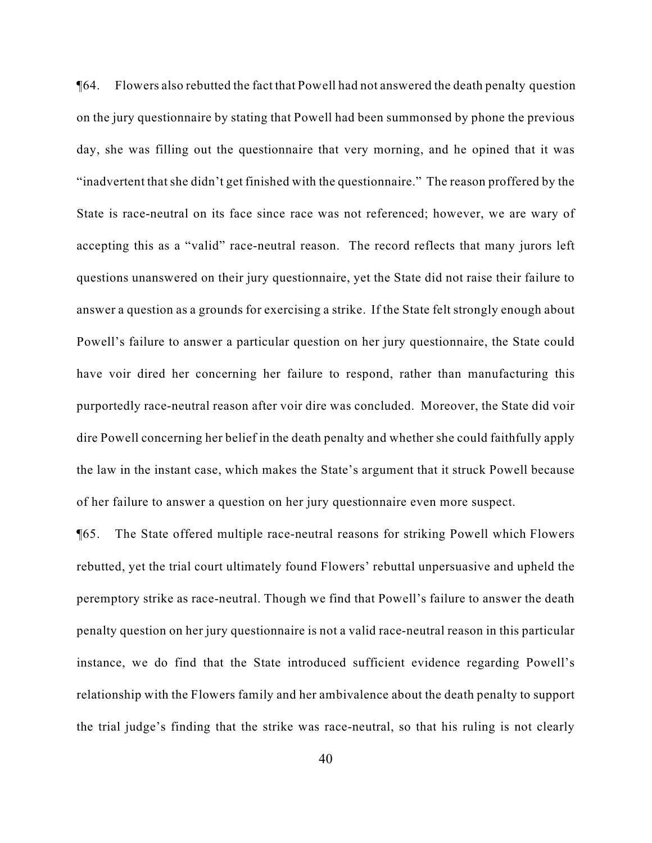¶64. Flowers also rebutted the fact that Powell had not answered the death penalty question on the jury questionnaire by stating that Powell had been summonsed by phone the previous day, she was filling out the questionnaire that very morning, and he opined that it was "inadvertent that she didn't get finished with the questionnaire." The reason proffered by the State is race-neutral on its face since race was not referenced; however, we are wary of accepting this as a "valid" race-neutral reason. The record reflects that many jurors left questions unanswered on their jury questionnaire, yet the State did not raise their failure to answer a question as a grounds for exercising a strike. If the State felt strongly enough about Powell's failure to answer a particular question on her jury questionnaire, the State could have voir dired her concerning her failure to respond, rather than manufacturing this purportedly race-neutral reason after voir dire was concluded. Moreover, the State did voir dire Powell concerning her belief in the death penalty and whether she could faithfully apply the law in the instant case, which makes the State's argument that it struck Powell because of her failure to answer a question on her jury questionnaire even more suspect.

¶65. The State offered multiple race-neutral reasons for striking Powell which Flowers rebutted, yet the trial court ultimately found Flowers' rebuttal unpersuasive and upheld the peremptory strike as race-neutral. Though we find that Powell's failure to answer the death penalty question on her jury questionnaire is not a valid race-neutral reason in this particular instance, we do find that the State introduced sufficient evidence regarding Powell's relationship with the Flowers family and her ambivalence about the death penalty to support the trial judge's finding that the strike was race-neutral, so that his ruling is not clearly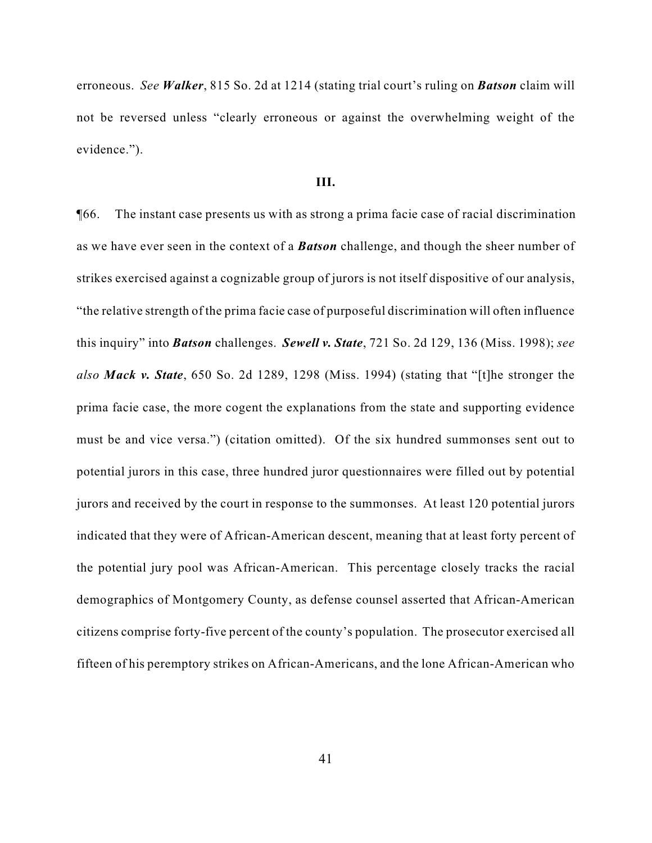erroneous. *See Walker*, 815 So. 2d at 1214 (stating trial court's ruling on *Batson* claim will not be reversed unless "clearly erroneous or against the overwhelming weight of the evidence.").

#### **III.**

¶66. The instant case presents us with as strong a prima facie case of racial discrimination as we have ever seen in the context of a *Batson* challenge, and though the sheer number of strikes exercised against a cognizable group of jurors is not itself dispositive of our analysis, "the relative strength of the prima facie case of purposeful discrimination will often influence this inquiry" into *Batson* challenges. *Sewell v. State*, 721 So. 2d 129, 136 (Miss. 1998); *see also Mack v. State*, 650 So. 2d 1289, 1298 (Miss. 1994) (stating that "[t]he stronger the prima facie case, the more cogent the explanations from the state and supporting evidence must be and vice versa.") (citation omitted). Of the six hundred summonses sent out to potential jurors in this case, three hundred juror questionnaires were filled out by potential jurors and received by the court in response to the summonses. At least 120 potential jurors indicated that they were of African-American descent, meaning that at least forty percent of the potential jury pool was African-American. This percentage closely tracks the racial demographics of Montgomery County, as defense counsel asserted that African-American citizens comprise forty-five percent of the county's population. The prosecutor exercised all fifteen of his peremptory strikes on African-Americans, and the lone African-American who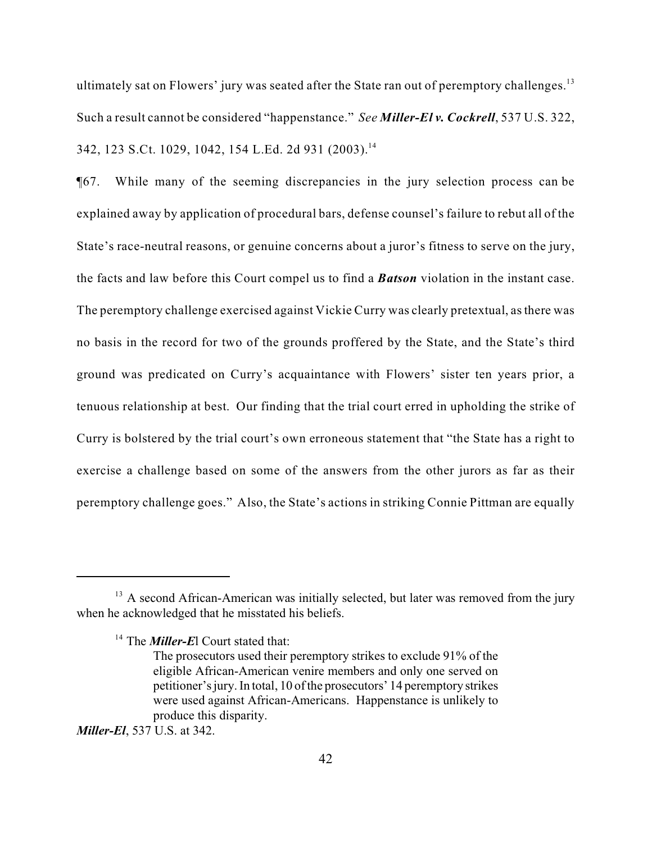ultimately sat on Flowers' jury was seated after the State ran out of peremptory challenges.<sup>13</sup> Such a result cannot be considered "happenstance." *See Miller-El v. Cockrell*, 537 U.S. 322, 342, 123 S.Ct. 1029, 1042, 154 L.Ed. 2d 931 (2003).<sup>14</sup>

¶67. While many of the seeming discrepancies in the jury selection process can be explained away by application of procedural bars, defense counsel's failure to rebut all of the State's race-neutral reasons, or genuine concerns about a juror's fitness to serve on the jury, the facts and law before this Court compel us to find a *Batson* violation in the instant case. The peremptory challenge exercised against Vickie Curry was clearly pretextual, as there was no basis in the record for two of the grounds proffered by the State, and the State's third ground was predicated on Curry's acquaintance with Flowers' sister ten years prior, a tenuous relationship at best. Our finding that the trial court erred in upholding the strike of Curry is bolstered by the trial court's own erroneous statement that "the State has a right to exercise a challenge based on some of the answers from the other jurors as far as their peremptory challenge goes." Also, the State's actions in striking Connie Pittman are equally

 $13$  A second African-American was initially selected, but later was removed from the jury when he acknowledged that he misstated his beliefs.

<sup>&</sup>lt;sup>14</sup> The *Miller-E*l Court stated that:

The prosecutors used their peremptory strikes to exclude 91% of the eligible African-American venire members and only one served on petitioner's jury. In total, 10 of the prosecutors' 14 peremptory strikes were used against African-Americans. Happenstance is unlikely to produce this disparity.

*Miller-El*, 537 U.S. at 342.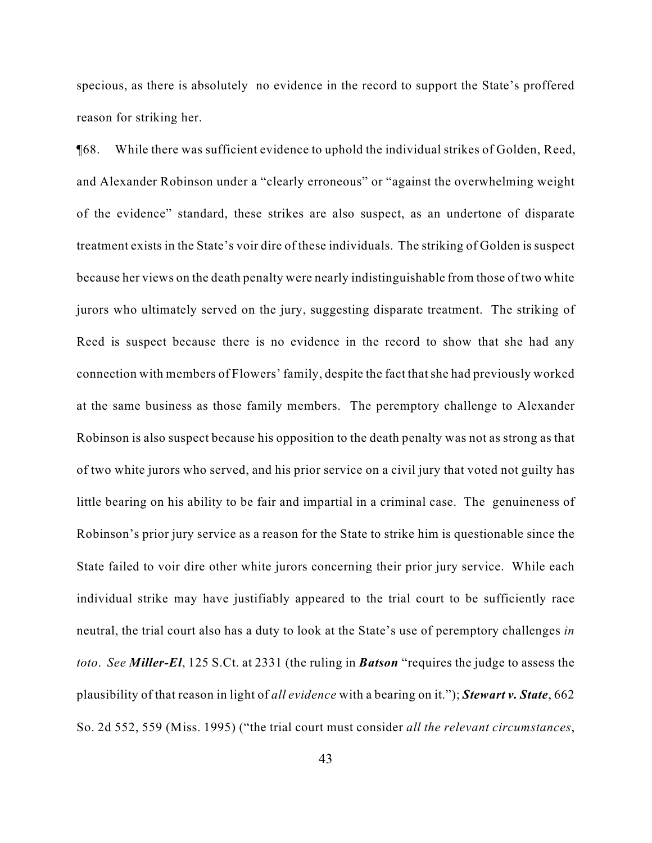specious, as there is absolutely no evidence in the record to support the State's proffered reason for striking her.

¶68. While there was sufficient evidence to uphold the individual strikes of Golden, Reed, and Alexander Robinson under a "clearly erroneous" or "against the overwhelming weight of the evidence" standard, these strikes are also suspect, as an undertone of disparate treatment exists in the State's voir dire of these individuals. The striking of Golden is suspect because her views on the death penalty were nearly indistinguishable from those of two white jurors who ultimately served on the jury, suggesting disparate treatment. The striking of Reed is suspect because there is no evidence in the record to show that she had any connection with members of Flowers' family, despite the fact that she had previously worked at the same business as those family members. The peremptory challenge to Alexander Robinson is also suspect because his opposition to the death penalty was not as strong as that of two white jurors who served, and his prior service on a civil jury that voted not guilty has little bearing on his ability to be fair and impartial in a criminal case. The genuineness of Robinson's prior jury service as a reason for the State to strike him is questionable since the State failed to voir dire other white jurors concerning their prior jury service. While each individual strike may have justifiably appeared to the trial court to be sufficiently race neutral, the trial court also has a duty to look at the State's use of peremptory challenges *in toto*. *See Miller-El*, 125 S.Ct. at 2331 (the ruling in *Batson* "requires the judge to assess the plausibility of that reason in light of *all evidence* with a bearing on it."); *Stewart v. State*, 662 So. 2d 552, 559 (Miss. 1995) ("the trial court must consider *all the relevant circumstances*,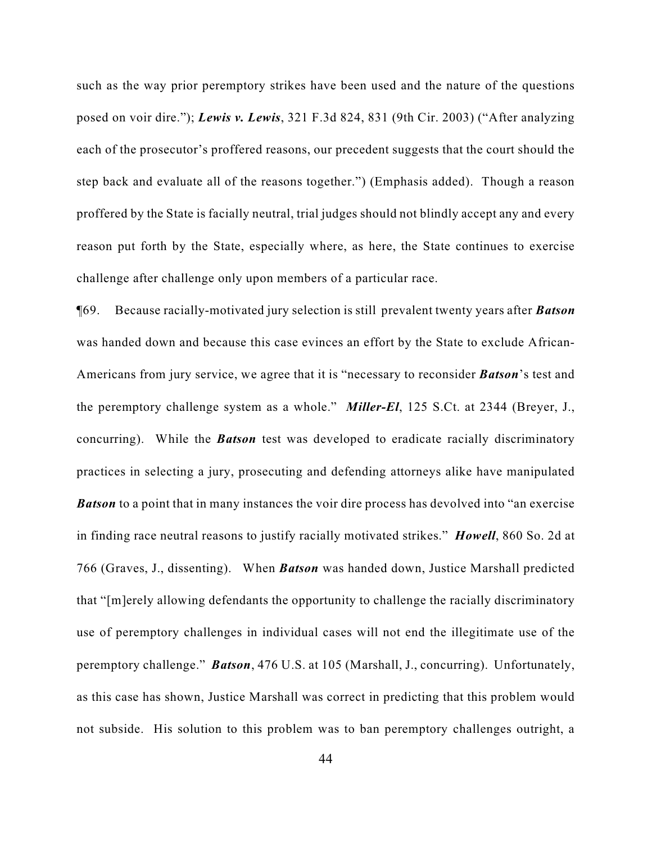such as the way prior peremptory strikes have been used and the nature of the questions posed on voir dire."); *Lewis v. Lewis*, 321 F.3d 824, 831 (9th Cir. 2003) ("After analyzing each of the prosecutor's proffered reasons, our precedent suggests that the court should the step back and evaluate all of the reasons together.") (Emphasis added). Though a reason proffered by the State is facially neutral, trial judges should not blindly accept any and every reason put forth by the State, especially where, as here, the State continues to exercise challenge after challenge only upon members of a particular race.

¶69. Because racially-motivated jury selection is still prevalent twenty years after *Batson* was handed down and because this case evinces an effort by the State to exclude African-Americans from jury service, we agree that it is "necessary to reconsider *Batson*'s test and the peremptory challenge system as a whole." *Miller-El*, 125 S.Ct. at 2344 (Breyer, J., concurring). While the *Batson* test was developed to eradicate racially discriminatory practices in selecting a jury, prosecuting and defending attorneys alike have manipulated **Batson** to a point that in many instances the voir dire process has devolved into "an exercise" in finding race neutral reasons to justify racially motivated strikes." *Howell*, 860 So. 2d at 766 (Graves, J., dissenting). When *Batson* was handed down, Justice Marshall predicted that "[m]erely allowing defendants the opportunity to challenge the racially discriminatory use of peremptory challenges in individual cases will not end the illegitimate use of the peremptory challenge." *Batson*, 476 U.S. at 105 (Marshall, J., concurring). Unfortunately, as this case has shown, Justice Marshall was correct in predicting that this problem would not subside. His solution to this problem was to ban peremptory challenges outright, a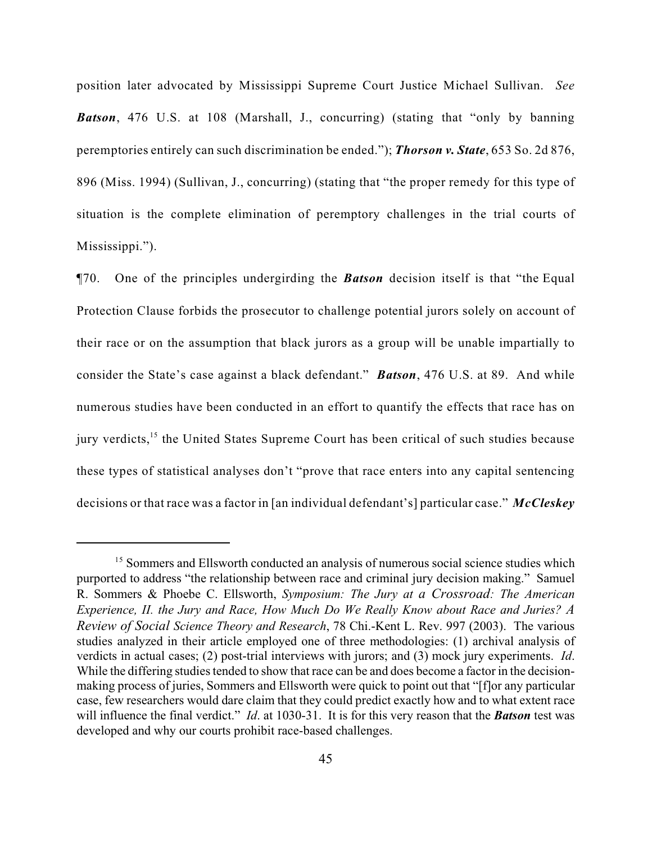position later advocated by Mississippi Supreme Court Justice Michael Sullivan. *See Batson*, 476 U.S. at 108 (Marshall, J., concurring) (stating that "only by banning peremptories entirely can such discrimination be ended."); *Thorson v. State*, 653 So. 2d 876, 896 (Miss. 1994) (Sullivan, J., concurring) (stating that "the proper remedy for this type of situation is the complete elimination of peremptory challenges in the trial courts of Mississippi.").

¶70. One of the principles undergirding the *Batson* decision itself is that "the Equal Protection Clause forbids the prosecutor to challenge potential jurors solely on account of their race or on the assumption that black jurors as a group will be unable impartially to consider the State's case against a black defendant." *Batson*, 476 U.S. at 89. And while numerous studies have been conducted in an effort to quantify the effects that race has on jury verdicts, $15$  the United States Supreme Court has been critical of such studies because these types of statistical analyses don't "prove that race enters into any capital sentencing decisions or that race was a factor in [an individual defendant's] particular case." *McCleskey*

<sup>&</sup>lt;sup>15</sup> Sommers and Ellsworth conducted an analysis of numerous social science studies which purported to address "the relationship between race and criminal jury decision making." Samuel R. Sommers & Phoebe C. Ellsworth, *Symposium: The Jury at a Crossroad: The American Experience, II. the Jury and Race, How Much Do We Really Know about Race and Juries? A Review of Social Science Theory and Research*, 78 Chi.-Kent L. Rev. 997 (2003). The various studies analyzed in their article employed one of three methodologies: (1) archival analysis of verdicts in actual cases; (2) post-trial interviews with jurors; and (3) mock jury experiments. *Id*. While the differing studies tended to show that race can be and does become a factor in the decisionmaking process of juries, Sommers and Ellsworth were quick to point out that "[f]or any particular case, few researchers would dare claim that they could predict exactly how and to what extent race will influence the final verdict." *Id*. at 1030-31. It is for this very reason that the *Batson* test was developed and why our courts prohibit race-based challenges.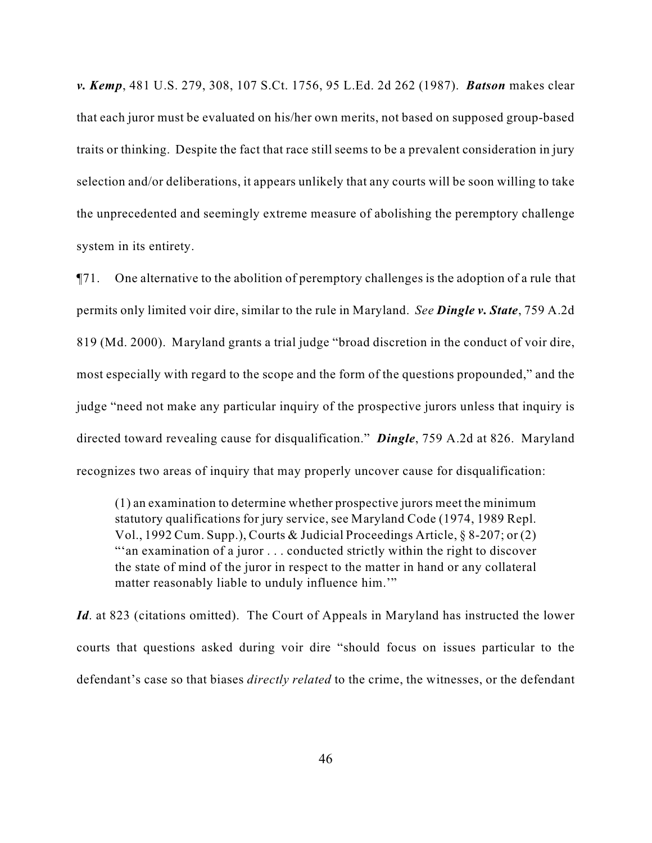*v. Kemp*, 481 U.S. 279, 308, 107 S.Ct. 1756, 95 L.Ed. 2d 262 (1987). *Batson* makes clear that each juror must be evaluated on his/her own merits, not based on supposed group-based traits or thinking. Despite the fact that race still seems to be a prevalent consideration in jury selection and/or deliberations, it appears unlikely that any courts will be soon willing to take the unprecedented and seemingly extreme measure of abolishing the peremptory challenge system in its entirety.

¶71. One alternative to the abolition of peremptory challenges is the adoption of a rule that permits only limited voir dire, similar to the rule in Maryland. *See Dingle v. State*, 759 A.2d 819 (Md. 2000). Maryland grants a trial judge "broad discretion in the conduct of voir dire, most especially with regard to the scope and the form of the questions propounded," and the judge "need not make any particular inquiry of the prospective jurors unless that inquiry is directed toward revealing cause for disqualification." *Dingle*, 759 A.2d at 826. Maryland recognizes two areas of inquiry that may properly uncover cause for disqualification:

(1) an examination to determine whether prospective jurors meet the minimum statutory qualifications for jury service, see Maryland Code (1974, 1989 Repl. Vol., 1992 Cum. Supp.), Courts & Judicial Proceedings Article, § 8-207; or (2) "'an examination of a juror . . . conducted strictly within the right to discover the state of mind of the juror in respect to the matter in hand or any collateral matter reasonably liable to unduly influence him."

*Id*. at 823 (citations omitted). The Court of Appeals in Maryland has instructed the lower courts that questions asked during voir dire "should focus on issues particular to the defendant's case so that biases *directly related* to the crime, the witnesses, or the defendant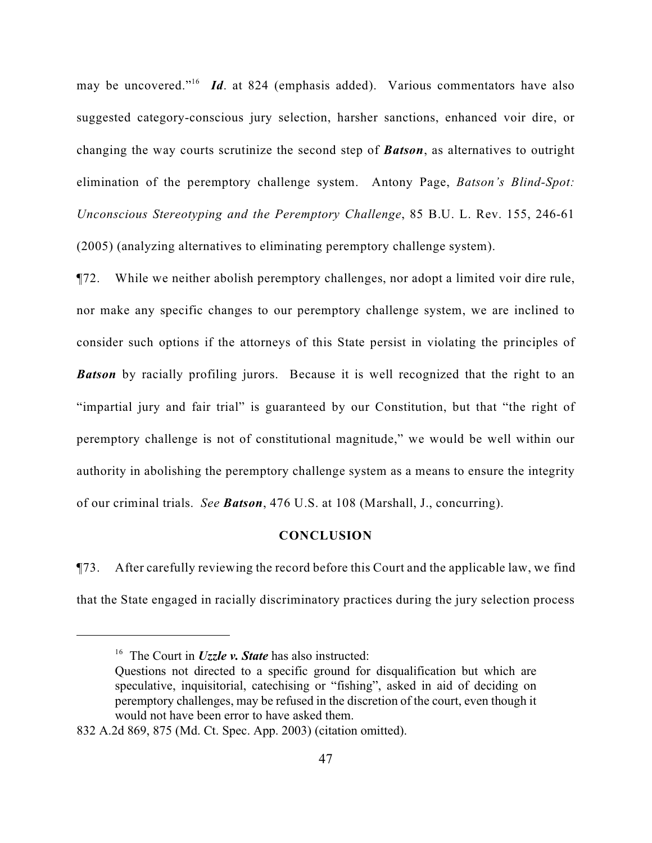may be uncovered."<sup>16</sup> Id. at 824 (emphasis added). Various commentators have also suggested category-conscious jury selection, harsher sanctions, enhanced voir dire, or changing the way courts scrutinize the second step of *Batson*, as alternatives to outright elimination of the peremptory challenge system. Antony Page, *Batson's Blind-Spot: Unconscious Stereotyping and the Peremptory Challenge*, 85 B.U. L. Rev. 155, 246-61 (2005) (analyzing alternatives to eliminating peremptory challenge system).

¶72. While we neither abolish peremptory challenges, nor adopt a limited voir dire rule, nor make any specific changes to our peremptory challenge system, we are inclined to consider such options if the attorneys of this State persist in violating the principles of **Batson** by racially profiling jurors. Because it is well recognized that the right to an "impartial jury and fair trial" is guaranteed by our Constitution, but that "the right of peremptory challenge is not of constitutional magnitude," we would be well within our authority in abolishing the peremptory challenge system as a means to ensure the integrity of our criminal trials. *See Batson*, 476 U.S. at 108 (Marshall, J., concurring).

## **CONCLUSION**

¶73. After carefully reviewing the record before this Court and the applicable law, we find that the State engaged in racially discriminatory practices during the jury selection process

<sup>&</sup>lt;sup>16</sup> The Court in *Uzzle v. State* has also instructed:

Questions not directed to a specific ground for disqualification but which are speculative, inquisitorial, catechising or "fishing", asked in aid of deciding on peremptory challenges, may be refused in the discretion of the court, even though it would not have been error to have asked them.

<sup>832</sup> A.2d 869, 875 (Md. Ct. Spec. App. 2003) (citation omitted).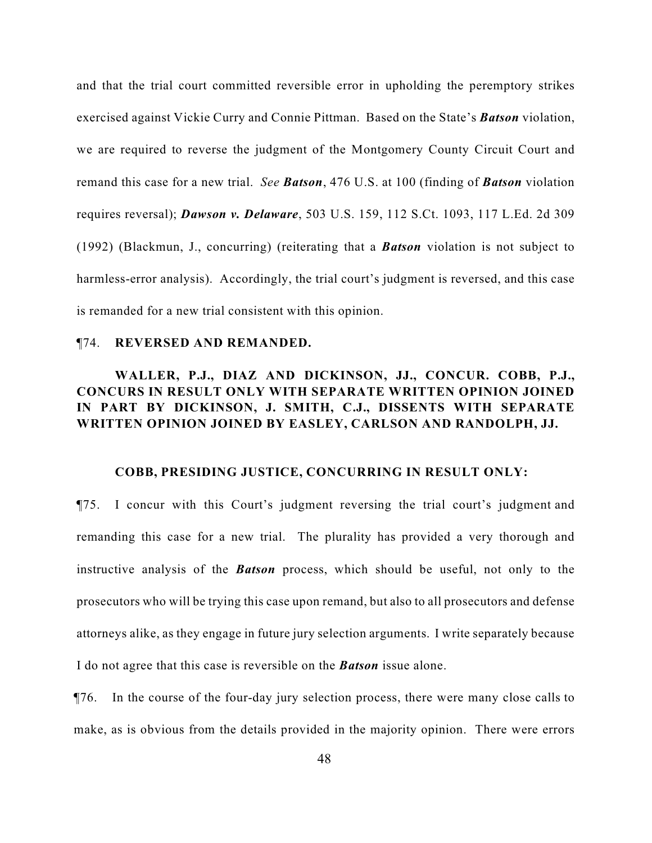and that the trial court committed reversible error in upholding the peremptory strikes exercised against Vickie Curry and Connie Pittman. Based on the State's *Batson* violation, we are required to reverse the judgment of the Montgomery County Circuit Court and remand this case for a new trial. *See Batson*, 476 U.S. at 100 (finding of *Batson* violation requires reversal); *Dawson v. Delaware*, 503 U.S. 159, 112 S.Ct. 1093, 117 L.Ed. 2d 309 (1992) (Blackmun, J., concurring) (reiterating that a *Batson* violation is not subject to harmless-error analysis). Accordingly, the trial court's judgment is reversed, and this case is remanded for a new trial consistent with this opinion.

#### ¶74. **REVERSED AND REMANDED.**

# **WALLER, P.J., DIAZ AND DICKINSON, JJ., CONCUR. COBB, P.J., CONCURS IN RESULT ONLY WITH SEPARATE WRITTEN OPINION JOINED IN PART BY DICKINSON, J. SMITH, C.J., DISSENTS WITH SEPARATE WRITTEN OPINION JOINED BY EASLEY, CARLSON AND RANDOLPH, JJ.**

#### **COBB, PRESIDING JUSTICE, CONCURRING IN RESULT ONLY:**

¶75. I concur with this Court's judgment reversing the trial court's judgment and remanding this case for a new trial. The plurality has provided a very thorough and instructive analysis of the *Batson* process, which should be useful, not only to the prosecutors who will be trying this case upon remand, but also to all prosecutors and defense attorneys alike, as they engage in future jury selection arguments. I write separately because I do not agree that this case is reversible on the *Batson* issue alone.

¶76. In the course of the four-day jury selection process, there were many close calls to make, as is obvious from the details provided in the majority opinion. There were errors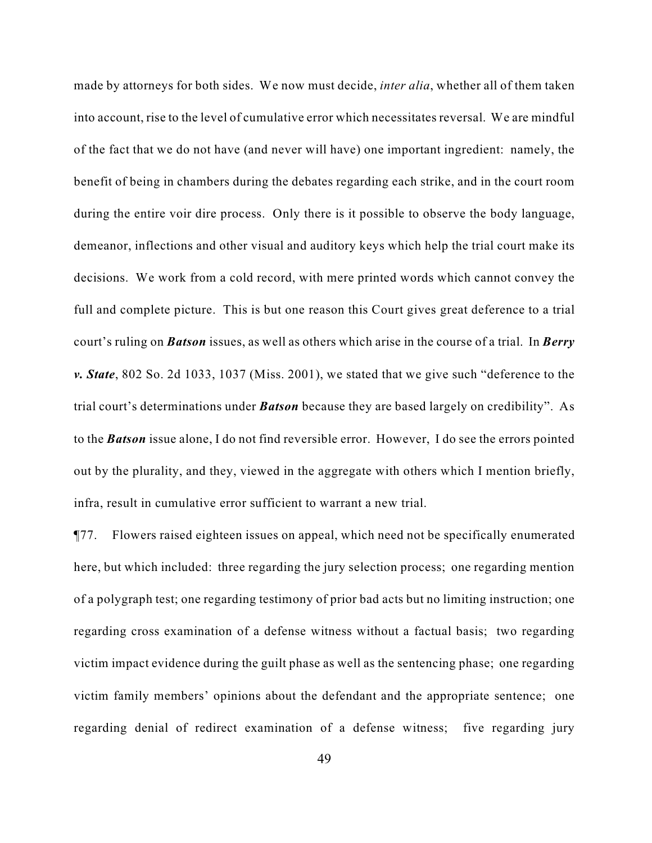made by attorneys for both sides. We now must decide, *inter alia*, whether all of them taken into account, rise to the level of cumulative error which necessitates reversal. We are mindful of the fact that we do not have (and never will have) one important ingredient: namely, the benefit of being in chambers during the debates regarding each strike, and in the court room during the entire voir dire process. Only there is it possible to observe the body language, demeanor, inflections and other visual and auditory keys which help the trial court make its decisions. We work from a cold record, with mere printed words which cannot convey the full and complete picture. This is but one reason this Court gives great deference to a trial court's ruling on *Batson* issues, as well as others which arise in the course of a trial. In *Berry v. State*, 802 So. 2d 1033, 1037 (Miss. 2001), we stated that we give such "deference to the trial court's determinations under *Batson* because they are based largely on credibility". As to the *Batson* issue alone, I do not find reversible error. However, I do see the errors pointed out by the plurality, and they, viewed in the aggregate with others which I mention briefly, infra, result in cumulative error sufficient to warrant a new trial.

¶77. Flowers raised eighteen issues on appeal, which need not be specifically enumerated here, but which included: three regarding the jury selection process; one regarding mention of a polygraph test; one regarding testimony of prior bad acts but no limiting instruction; one regarding cross examination of a defense witness without a factual basis; two regarding victim impact evidence during the guilt phase as well as the sentencing phase; one regarding victim family members' opinions about the defendant and the appropriate sentence; one regarding denial of redirect examination of a defense witness; five regarding jury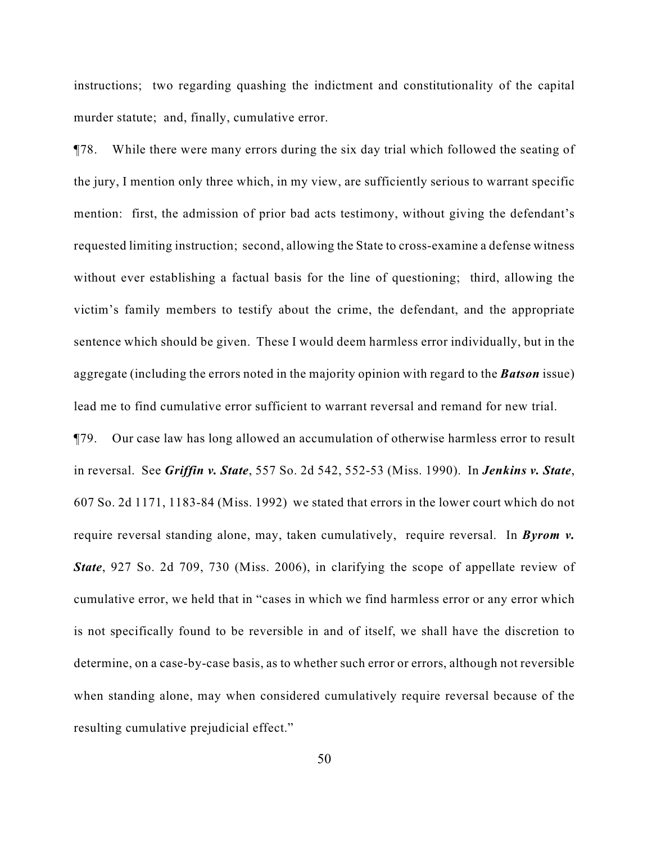instructions; two regarding quashing the indictment and constitutionality of the capital murder statute; and, finally, cumulative error.

¶78. While there were many errors during the six day trial which followed the seating of the jury, I mention only three which, in my view, are sufficiently serious to warrant specific mention: first, the admission of prior bad acts testimony, without giving the defendant's requested limiting instruction; second, allowing the State to cross-examine a defense witness without ever establishing a factual basis for the line of questioning; third, allowing the victim's family members to testify about the crime, the defendant, and the appropriate sentence which should be given. These I would deem harmless error individually, but in the aggregate (including the errors noted in the majority opinion with regard to the *Batson* issue) lead me to find cumulative error sufficient to warrant reversal and remand for new trial.

¶79. Our case law has long allowed an accumulation of otherwise harmless error to result in reversal. See *Griffin v. State*, 557 So. 2d 542, 552-53 (Miss. 1990). In *Jenkins v. State*, 607 So. 2d 1171, 1183-84 (Miss. 1992) we stated that errors in the lower court which do not require reversal standing alone, may, taken cumulatively, require reversal. In *Byrom v. State*, 927 So. 2d 709, 730 (Miss. 2006), in clarifying the scope of appellate review of cumulative error, we held that in "cases in which we find harmless error or any error which is not specifically found to be reversible in and of itself, we shall have the discretion to determine, on a case-by-case basis, as to whether such error or errors, although not reversible when standing alone, may when considered cumulatively require reversal because of the resulting cumulative prejudicial effect."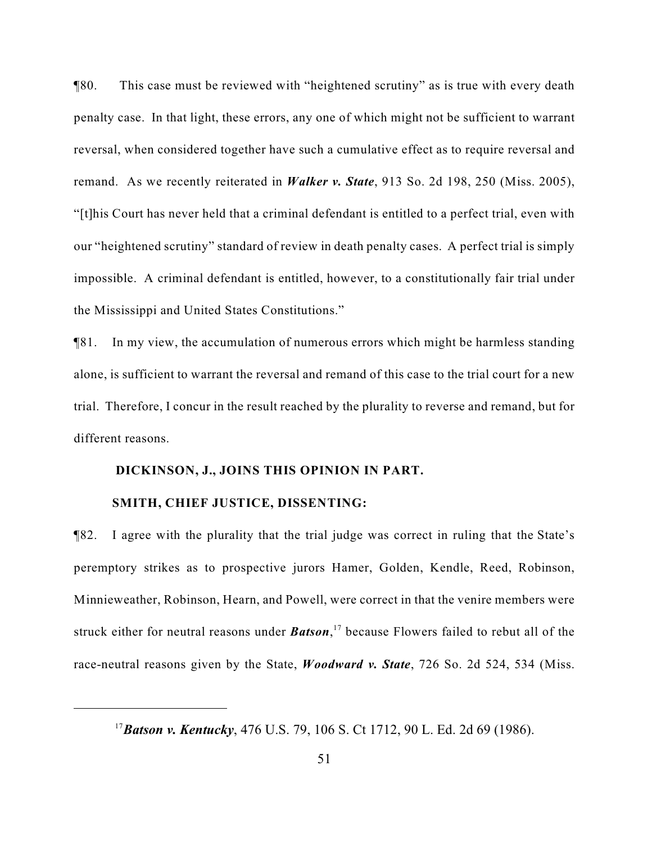¶80. This case must be reviewed with "heightened scrutiny" as is true with every death penalty case. In that light, these errors, any one of which might not be sufficient to warrant reversal, when considered together have such a cumulative effect as to require reversal and remand. As we recently reiterated in *Walker v. State*, 913 So. 2d 198, 250 (Miss. 2005), "[t]his Court has never held that a criminal defendant is entitled to a perfect trial, even with our "heightened scrutiny" standard of review in death penalty cases. A perfect trial is simply impossible. A criminal defendant is entitled, however, to a constitutionally fair trial under the Mississippi and United States Constitutions."

¶81. In my view, the accumulation of numerous errors which might be harmless standing alone, is sufficient to warrant the reversal and remand of this case to the trial court for a new trial. Therefore, I concur in the result reached by the plurality to reverse and remand, but for different reasons.

# **DICKINSON, J., JOINS THIS OPINION IN PART.**

#### **SMITH, CHIEF JUSTICE, DISSENTING:**

¶82. I agree with the plurality that the trial judge was correct in ruling that the State's peremptory strikes as to prospective jurors Hamer, Golden, Kendle, Reed, Robinson, Minnieweather, Robinson, Hearn, and Powell, were correct in that the venire members were struck either for neutral reasons under **Batson**,<sup>17</sup> because Flowers failed to rebut all of the race-neutral reasons given by the State, *Woodward v. State*, 726 So. 2d 524, 534 (Miss.

*Batson v. Kentucky*, 476 U.S. 79, 106 S. Ct 1712, 90 L. Ed. 2d 69 (1986). <sup>17</sup>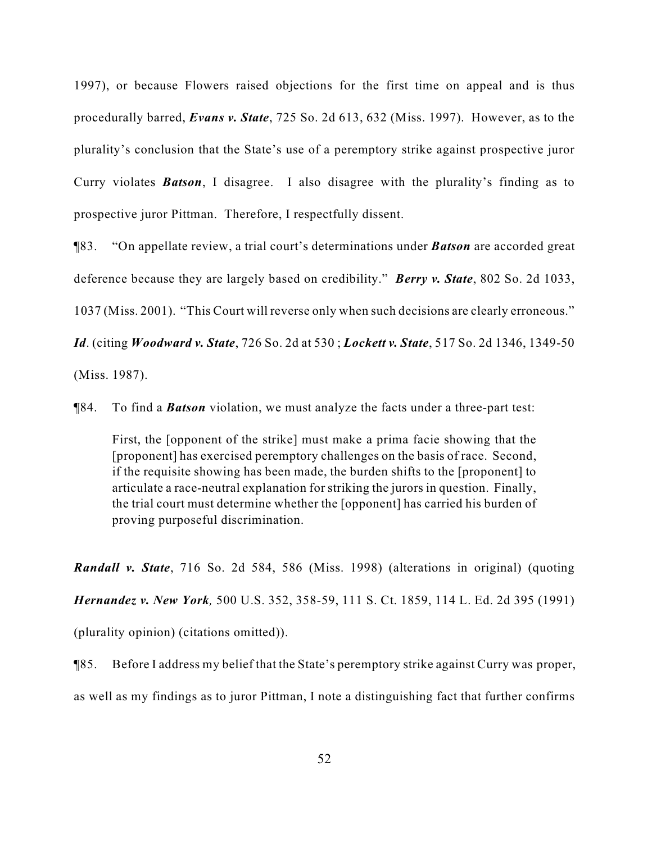1997), or because Flowers raised objections for the first time on appeal and is thus procedurally barred, *Evans v. State*, 725 So. 2d 613, 632 (Miss. 1997). However, as to the plurality's conclusion that the State's use of a peremptory strike against prospective juror Curry violates *Batson*, I disagree. I also disagree with the plurality's finding as to prospective juror Pittman. Therefore, I respectfully dissent.

¶83. "On appellate review, a trial court's determinations under *Batson* are accorded great deference because they are largely based on credibility." *Berry v. State*, 802 So. 2d 1033, 1037 (Miss. 2001). "This Court will reverse only when such decisions are clearly erroneous." *Id*. (citing *Woodward v. State*, 726 So. 2d at 530 ; *Lockett v. State*, 517 So. 2d 1346, 1349-50 (Miss. 1987).

¶84. To find a *Batson* violation, we must analyze the facts under a three-part test:

First, the [opponent of the strike] must make a prima facie showing that the [proponent] has exercised peremptory challenges on the basis of race. Second, if the requisite showing has been made, the burden shifts to the [proponent] to articulate a race-neutral explanation for striking the jurors in question. Finally, the trial court must determine whether the [opponent] has carried his burden of proving purposeful discrimination.

*Randall v. State*, 716 So. 2d 584, 586 (Miss. 1998) (alterations in original) (quoting *Hernandez v. New York,* 500 U.S. 352, 358-59, 111 S. Ct. 1859, 114 L. Ed. 2d 395 (1991) (plurality opinion) (citations omitted)).

¶85. Before I address my belief that the State's peremptory strike against Curry was proper, as well as my findings as to juror Pittman, I note a distinguishing fact that further confirms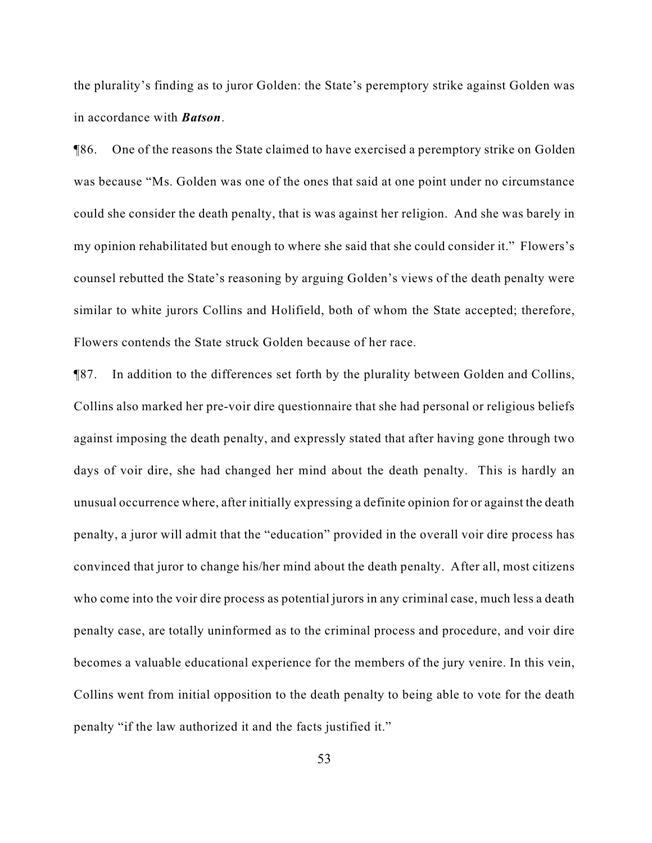the plurality's finding as to juror Golden: the State's peremptory strike against Golden was in accordance with *Batson*.

¶86. One of the reasons the State claimed to have exercised a peremptory strike on Golden was because "Ms. Golden was one of the ones that said at one point under no circumstance could she consider the death penalty, that is was against her religion. And she was barely in my opinion rehabilitated but enough to where she said that she could consider it." Flowers's counsel rebutted the State's reasoning by arguing Golden's views of the death penalty were similar to white jurors Collins and Holifield, both of whom the State accepted; therefore, Flowers contends the State struck Golden because of her race.

¶87. In addition to the differences set forth by the plurality between Golden and Collins, Collins also marked her pre-voir dire questionnaire that she had personal or religious beliefs against imposing the death penalty, and expressly stated that after having gone through two days of voir dire, she had changed her mind about the death penalty. This is hardly an unusual occurrence where, after initially expressing a definite opinion for or against the death penalty, a juror will admit that the "education" provided in the overall voir dire process has convinced that juror to change his/her mind about the death penalty. After all, most citizens who come into the voir dire process as potential jurors in any criminal case, much less a death penalty case, are totally uninformed as to the criminal process and procedure, and voir dire becomes a valuable educational experience for the members of the jury venire. In this vein, Collins went from initial opposition to the death penalty to being able to vote for the death penalty "if the law authorized it and the facts justified it."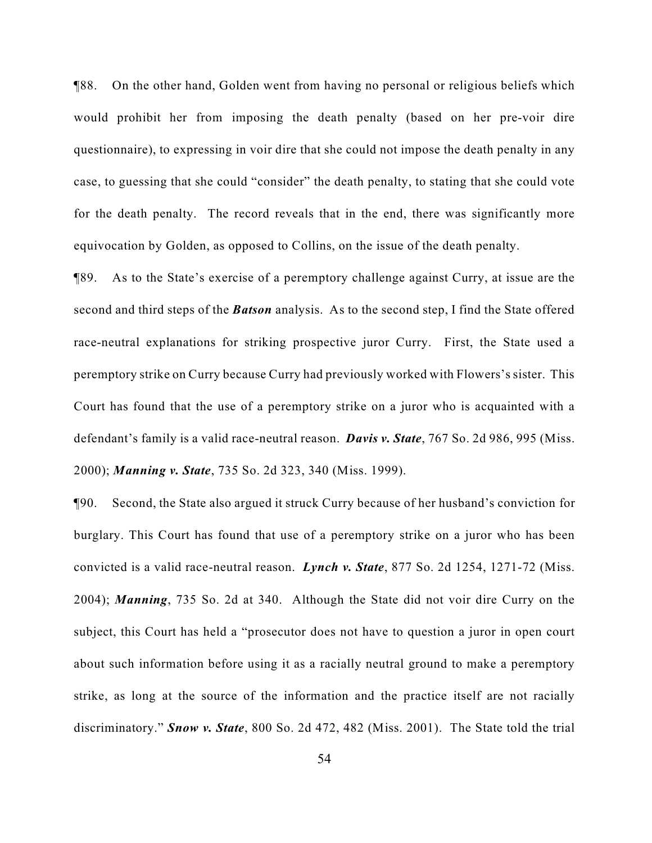¶88. On the other hand, Golden went from having no personal or religious beliefs which would prohibit her from imposing the death penalty (based on her pre-voir dire questionnaire), to expressing in voir dire that she could not impose the death penalty in any case, to guessing that she could "consider" the death penalty, to stating that she could vote for the death penalty. The record reveals that in the end, there was significantly more equivocation by Golden, as opposed to Collins, on the issue of the death penalty.

¶89. As to the State's exercise of a peremptory challenge against Curry, at issue are the second and third steps of the *Batson* analysis. As to the second step, I find the State offered race-neutral explanations for striking prospective juror Curry. First, the State used a peremptory strike on Curry because Curry had previously worked with Flowers's sister. This Court has found that the use of a peremptory strike on a juror who is acquainted with a defendant's family is a valid race-neutral reason. *Davis v. State*, 767 So. 2d 986, 995 (Miss. 2000); *Manning v. State*, 735 So. 2d 323, 340 (Miss. 1999).

¶90. Second, the State also argued it struck Curry because of her husband's conviction for burglary. This Court has found that use of a peremptory strike on a juror who has been convicted is a valid race-neutral reason. *Lynch v. State*, 877 So. 2d 1254, 1271-72 (Miss. 2004); *Manning*, 735 So. 2d at 340. Although the State did not voir dire Curry on the subject, this Court has held a "prosecutor does not have to question a juror in open court about such information before using it as a racially neutral ground to make a peremptory strike, as long at the source of the information and the practice itself are not racially discriminatory." *Snow v. State*, 800 So. 2d 472, 482 (Miss. 2001). The State told the trial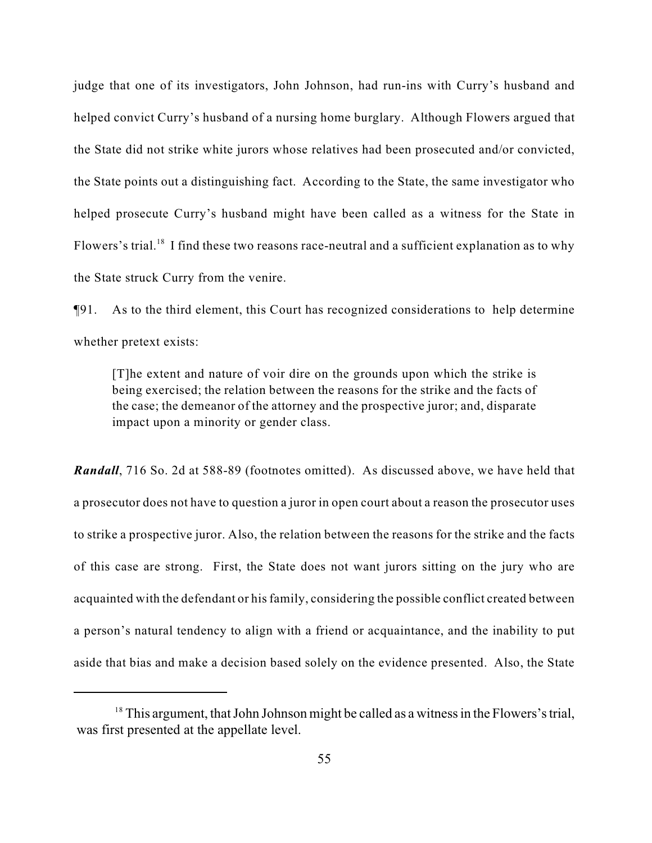judge that one of its investigators, John Johnson, had run-ins with Curry's husband and helped convict Curry's husband of a nursing home burglary. Although Flowers argued that the State did not strike white jurors whose relatives had been prosecuted and/or convicted, the State points out a distinguishing fact. According to the State, the same investigator who helped prosecute Curry's husband might have been called as a witness for the State in Flowers's trial.<sup>18</sup> I find these two reasons race-neutral and a sufficient explanation as to why the State struck Curry from the venire.

¶91. As to the third element, this Court has recognized considerations to help determine whether pretext exists:

[T]he extent and nature of voir dire on the grounds upon which the strike is being exercised; the relation between the reasons for the strike and the facts of the case; the demeanor of the attorney and the prospective juror; and, disparate impact upon a minority or gender class.

*Randall*, 716 So. 2d at 588-89 (footnotes omitted). As discussed above, we have held that a prosecutor does not have to question a juror in open court about a reason the prosecutor uses to strike a prospective juror. Also, the relation between the reasons for the strike and the facts of this case are strong. First, the State does not want jurors sitting on the jury who are acquainted with the defendant or his family, considering the possible conflict created between a person's natural tendency to align with a friend or acquaintance, and the inability to put aside that bias and make a decision based solely on the evidence presented. Also, the State

 $18$  This argument, that John Johnson might be called as a witness in the Flowers's trial, was first presented at the appellate level.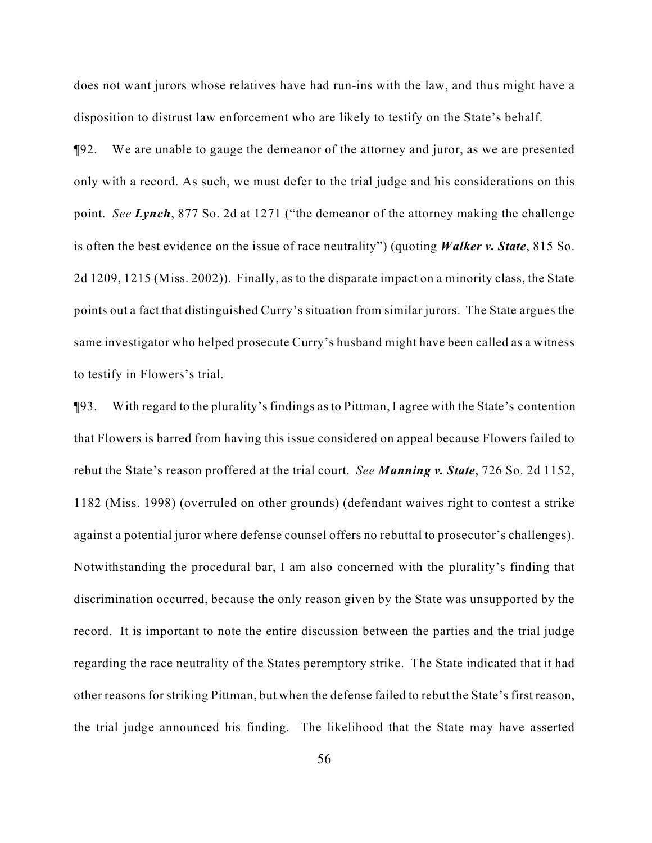does not want jurors whose relatives have had run-ins with the law, and thus might have a disposition to distrust law enforcement who are likely to testify on the State's behalf.

¶92. We are unable to gauge the demeanor of the attorney and juror, as we are presented only with a record. As such, we must defer to the trial judge and his considerations on this point. *See Lynch*, 877 So. 2d at 1271 ("the demeanor of the attorney making the challenge is often the best evidence on the issue of race neutrality") (quoting *Walker v. State*, 815 So. 2d 1209, 1215 (Miss. 2002)). Finally, as to the disparate impact on a minority class, the State points out a fact that distinguished Curry's situation from similar jurors. The State argues the same investigator who helped prosecute Curry's husband might have been called as a witness to testify in Flowers's trial.

¶93. With regard to the plurality's findings as to Pittman, I agree with the State's contention that Flowers is barred from having this issue considered on appeal because Flowers failed to rebut the State's reason proffered at the trial court. *See Manning v. State*, 726 So. 2d 1152, 1182 (Miss. 1998) (overruled on other grounds) (defendant waives right to contest a strike against a potential juror where defense counsel offers no rebuttal to prosecutor's challenges). Notwithstanding the procedural bar, I am also concerned with the plurality's finding that discrimination occurred, because the only reason given by the State was unsupported by the record. It is important to note the entire discussion between the parties and the trial judge regarding the race neutrality of the States peremptory strike. The State indicated that it had other reasons for striking Pittman, but when the defense failed to rebut the State's first reason, the trial judge announced his finding. The likelihood that the State may have asserted